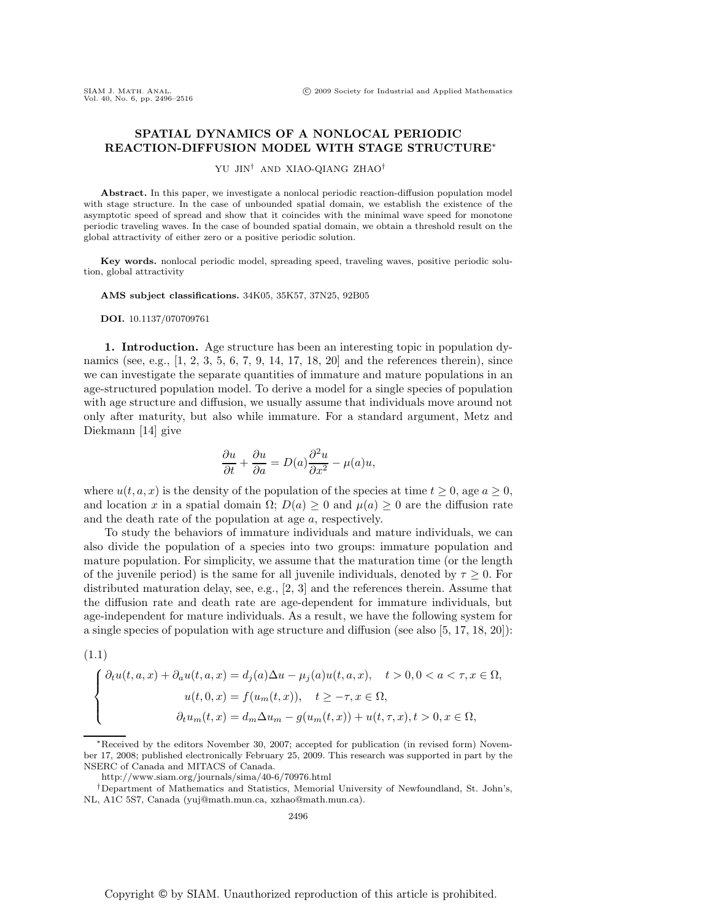## **SPATIAL DYNAMICS OF A NONLOCAL PERIODIC REACTION-DIFFUSION MODEL WITH STAGE STRUCTURE**∗

YU JIN† AND XIAO-QIANG ZHAO†

**Abstract.** In this paper, we investigate a nonlocal periodic reaction-diffusion population model with stage structure. In the case of unbounded spatial domain, we establish the existence of the asymptotic speed of spread and show that it coincides with the minimal wave speed for monotone periodic traveling waves. In the case of bounded spatial domain, we obtain a threshold result on the global attractivity of either zero or a positive periodic solution.

**Key words.** nonlocal periodic model, spreading speed, traveling waves, positive periodic solution, global attractivity

**AMS subject classifications.** 34K05, 35K57, 37N25, 92B05

**DOI.** 10.1137/070709761

 $(1.1)$ 

**1. Introduction.** Age structure has been an interesting topic in population dynamics (see, e.g., [1, 2, 3, 5, 6, 7, 9, 14, 17, 18, 20] and the references therein), since we can investigate the separate quantities of immature and mature populations in an age-structured population model. To derive a model for a single species of population with age structure and diffusion, we usually assume that individuals move around not only after maturity, but also while immature. For a standard argument, Metz and Diekmann [14] give

$$
\frac{\partial u}{\partial t} + \frac{\partial u}{\partial a} = D(a) \frac{\partial^2 u}{\partial x^2} - \mu(a)u,
$$

where  $u(t, a, x)$  is the density of the population of the species at time  $t \geq 0$ , age  $a \geq 0$ , and location x in a spatial domain  $\Omega$ ;  $D(a) \geq 0$  and  $\mu(a) \geq 0$  are the diffusion rate and the death rate of the population at age a, respectively.

To study the behaviors of immature individuals and mature individuals, we can also divide the population of a species into two groups: immature population and mature population. For simplicity, we assume that the maturation time (or the length of the juvenile period) is the same for all juvenile individuals, denoted by  $\tau \geq 0$ . For distributed maturation delay, see, e.g., [2, 3] and the references therein. Assume that the diffusion rate and death rate are age-dependent for immature individuals, but age-independent for mature individuals. As a result, we have the following system for a single species of population with age structure and diffusion (see also [5, 17, 18, 20]):

$$
\begin{cases}\n\partial_t u(t,a,x) + \partial_a u(t,a,x) = d_j(a)\Delta u - \mu_j(a)u(t,a,x), \quad t > 0, 0 < a < \tau, x \in \Omega, \\
u(t,0,x) = f(u_m(t,x)), \quad t \ge -\tau, x \in \Omega, \\
\partial_t u_m(t,x) = d_m \Delta u_m - g(u_m(t,x)) + u(t,\tau,x), t > 0, x \in \Omega,\n\end{cases}
$$

<sup>∗</sup>Received by the editors November 30, 2007; accepted for publication (in revised form) November 17, 2008; published electronically February 25, 2009. This research was supported in part by the NSERC of Canada and MITACS of Canada.

http://www.siam.org/journals/sima/40-6/70976.html

<sup>†</sup>Department of Mathematics and Statistics, Memorial University of Newfoundland, St. John's, NL, A1C 5S7, Canada (yuj@math.mun.ca, xzhao@math.mun.ca).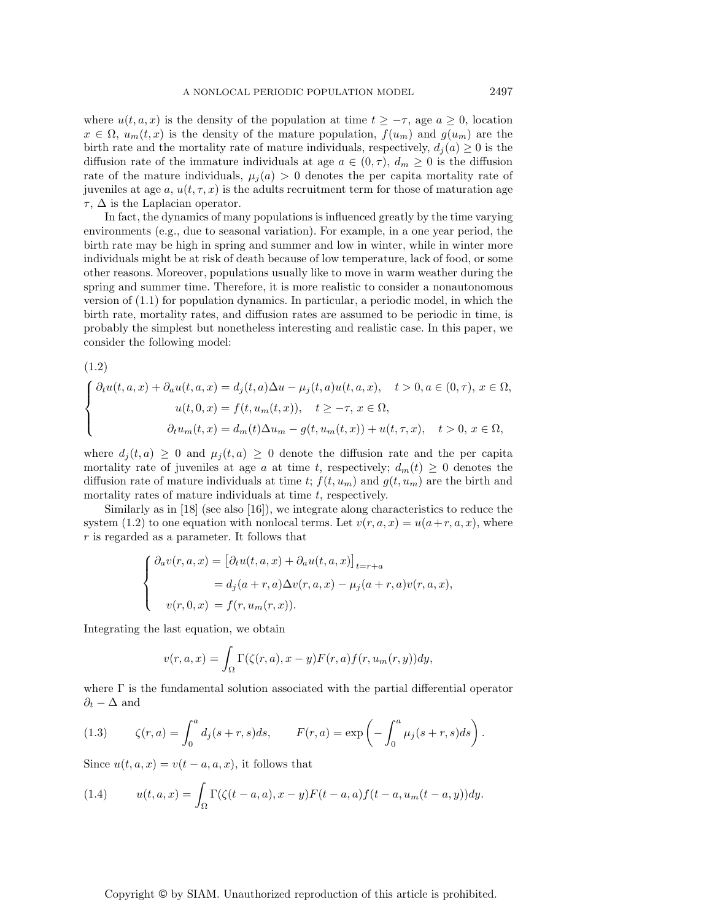where  $u(t, a, x)$  is the density of the population at time  $t \geq -\tau$ , age  $a \geq 0$ , location  $x \in \Omega$ ,  $u_m(t, x)$  is the density of the mature population,  $f(u_m)$  and  $g(u_m)$  are the birth rate and the mortality rate of mature individuals, respectively,  $d_i(a) \geq 0$  is the diffusion rate of the immature individuals at age  $a \in (0, \tau)$ ,  $d_m \geq 0$  is the diffusion rate of the mature individuals,  $\mu_j(a) > 0$  denotes the per capita mortality rate of juveniles at age a,  $u(t, \tau, x)$  is the adults recruitment term for those of maturation age  $\tau$ ,  $\Delta$  is the Laplacian operator.

In fact, the dynamics of many populations is influenced greatly by the time varying environments (e.g., due to seasonal variation). For example, in a one year period, the birth rate may be high in spring and summer and low in winter, while in winter more individuals might be at risk of death because of low temperature, lack of food, or some other reasons. Moreover, populations usually like to move in warm weather during the spring and summer time. Therefore, it is more realistic to consider a nonautonomous version of (1.1) for population dynamics. In particular, a periodic model, in which the birth rate, mortality rates, and diffusion rates are assumed to be periodic in time, is probably the simplest but nonetheless interesting and realistic case. In this paper, we consider the following model:

(1.2)

$$
\begin{cases}\n\partial_t u(t,a,x) + \partial_a u(t,a,x) = d_j(t,a)\Delta u - \mu_j(t,a)u(t,a,x), \quad t > 0, a \in (0,\tau), x \in \Omega, \\
u(t,0,x) = f(t,u_m(t,x)), \quad t \ge -\tau, x \in \Omega, \\
\partial_t u_m(t,x) = d_m(t)\Delta u_m - g(t,u_m(t,x)) + u(t,\tau,x), \quad t > 0, x \in \Omega,\n\end{cases}
$$

where  $d_j(t, a) \geq 0$  and  $\mu_j(t, a) \geq 0$  denote the diffusion rate and the per capita mortality rate of juveniles at age a at time t, respectively;  $d_m(t) \geq 0$  denotes the diffusion rate of mature individuals at time t;  $f(t, u_m)$  and  $g(t, u_m)$  are the birth and mortality rates of mature individuals at time  $t$ , respectively.

Similarly as in [18] (see also [16]), we integrate along characteristics to reduce the system (1.2) to one equation with nonlocal terms. Let  $v(r, a, x) = u(a+r, a, x)$ , where r is regarded as a parameter. It follows that

$$
\begin{cases}\n\partial_a v(r, a, x) = \left[\partial_t u(t, a, x) + \partial_a u(t, a, x)\right]_{t=r+a} \\
= d_j(a+r, a)\Delta v(r, a, x) - \mu_j(a+r, a)v(r, a, x), \\
v(r, 0, x) = f(r, u_m(r, x)).\n\end{cases}
$$

Integrating the last equation, we obtain

$$
v(r, a, x) = \int_{\Omega} \Gamma(\zeta(r, a), x - y) F(r, a) f(r, u_m(r, y)) dy,
$$

where  $\Gamma$  is the fundamental solution associated with the partial differential operator  $\partial_t - \Delta$  and

(1.3) 
$$
\zeta(r,a) = \int_0^a d_j(s+r,s)ds, \qquad F(r,a) = \exp\left(-\int_0^a \mu_j(s+r,s)ds\right).
$$

Since  $u(t, a, x) = v(t - a, a, x)$ , it follows that

(1.4) 
$$
u(t, a, x) = \int_{\Omega} \Gamma(\zeta(t - a, a), x - y) F(t - a, a) f(t - a, u_m(t - a, y)) dy.
$$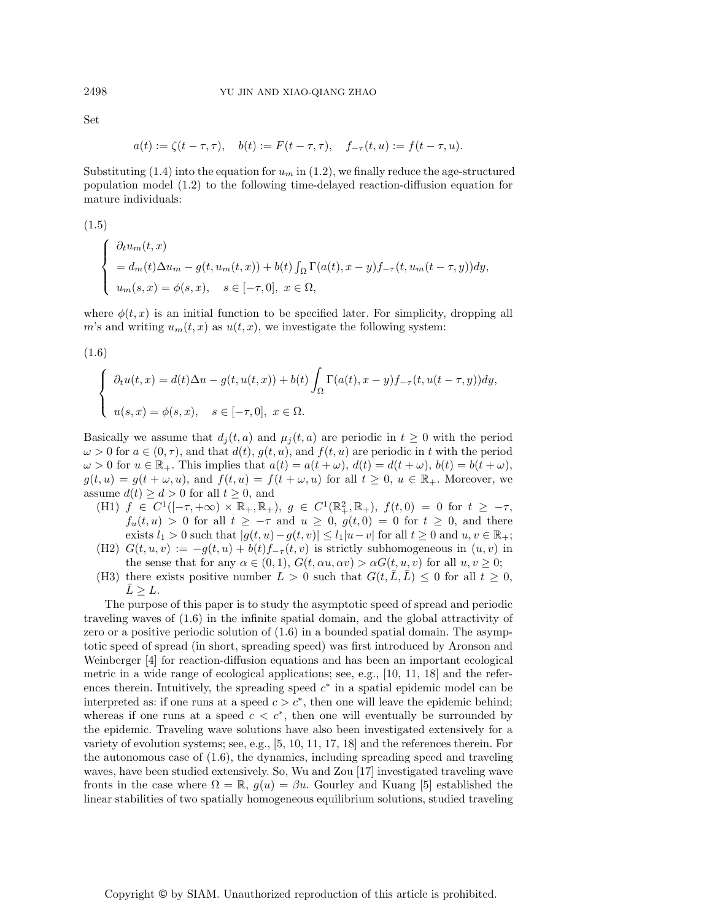$$
\mathop{\rm Set}\nolimits
$$

$$
a(t) := \zeta(t - \tau, \tau), \quad b(t) := F(t - \tau, \tau), \quad f_{-\tau}(t, u) := f(t - \tau, u).
$$

Substituting (1.4) into the equation for  $u_m$  in (1.2), we finally reduce the age-structured population model (1.2) to the following time-delayed reaction-diffusion equation for mature individuals:

(1.5)  
\n
$$
\begin{cases}\n\frac{\partial_t u_m(t,x)}{\partial_t u_m(t,x)} = d_m(t)\Delta u_m - g(t, u_m(t,x)) + b(t) \int_{\Omega} \Gamma(a(t), x - y) f_{-\tau}(t, u_m(t - \tau, y)) dy, \\
u_m(s, x) = \phi(s, x), \quad s \in [-\tau, 0], \ x \in \Omega,\n\end{cases}
$$

where  $\phi(t, x)$  is an initial function to be specified later. For simplicity, dropping all m's and writing  $u_m(t, x)$  as  $u(t, x)$ , we investigate the following system:

(1.6)

$$
\begin{cases}\n\partial_t u(t,x) = d(t)\Delta u - g(t, u(t,x)) + b(t) \int_{\Omega} \Gamma(a(t), x - y) f_{-\tau}(t, u(t - \tau, y)) dy, \\
u(s, x) = \phi(s, x), \quad s \in [-\tau, 0], \ x \in \Omega.\n\end{cases}
$$

Basically we assume that  $d_i(t, a)$  and  $\mu_i(t, a)$  are periodic in  $t \geq 0$  with the period  $\omega > 0$  for  $a \in (0, \tau)$ , and that  $d(t)$ ,  $g(t, u)$ , and  $f(t, u)$  are periodic in t with the period  $\omega > 0$  for  $u \in \mathbb{R}_+$ . This implies that  $a(t) = a(t + \omega)$ ,  $d(t) = d(t + \omega)$ ,  $b(t) = b(t + \omega)$ ,  $g(t, u) = g(t + \omega, u)$ , and  $f(t, u) = f(t + \omega, u)$  for all  $t \geq 0, u \in \mathbb{R}_{+}$ . Moreover, we assume  $d(t) \geq d > 0$  for all  $t \geq 0$ , and

- (H1)  $f \in C^1([- \tau, +\infty) \times \mathbb{R}_+, \mathbb{R}_+), g \in C^1(\mathbb{R}^2_+, \mathbb{R}_+), f(t,0) = 0$  for  $t \ge -\tau$ ,  $f_u(t, u) > 0$  for all  $t \ge -\tau$  and  $u \ge 0$ ,  $g(t, 0) = 0$  for  $t \ge 0$ , and there exists  $l_1 > 0$  such that  $|g(t, u) - g(t, v)| \le l_1|u - v|$  for all  $t \ge 0$  and  $u, v \in \mathbb{R}_+$ ;
- (H2)  $G(t, u, v) := -g(t, u) + b(t) f_{-\tau}(t, v)$  is strictly subhomogeneous in  $(u, v)$  in the sense that for any  $\alpha \in (0,1)$ ,  $G(t, \alpha u, \alpha v) > \alpha G(t, u, v)$  for all  $u, v \geq 0$ ;
- (H3) there exists positive number  $L > 0$  such that  $G(t, \overline{L}, \overline{L}) \leq 0$  for all  $t \geq 0$ ,  $\overline{L} \geq L$ .

The purpose of this paper is to study the asymptotic speed of spread and periodic traveling waves of (1.6) in the infinite spatial domain, and the global attractivity of zero or a positive periodic solution of (1.6) in a bounded spatial domain. The asymptotic speed of spread (in short, spreading speed) was first introduced by Aronson and Weinberger [4] for reaction-diffusion equations and has been an important ecological metric in a wide range of ecological applications; see, e.g., [10, 11, 18] and the references therein. Intuitively, the spreading speed  $c<sup>*</sup>$  in a spatial epidemic model can be interpreted as: if one runs at a speed  $c>c^*$ , then one will leave the epidemic behind; whereas if one runs at a speed  $c < c^*$ , then one will eventually be surrounded by the epidemic. Traveling wave solutions have also been investigated extensively for a variety of evolution systems; see, e.g., [5, 10, 11, 17, 18] and the references therein. For the autonomous case of (1.6), the dynamics, including spreading speed and traveling waves, have been studied extensively. So, Wu and Zou [17] investigated traveling wave fronts in the case where  $\Omega = \mathbb{R}$ ,  $g(u) = \beta u$ . Gourley and Kuang [5] established the linear stabilities of two spatially homogeneous equilibrium solutions, studied traveling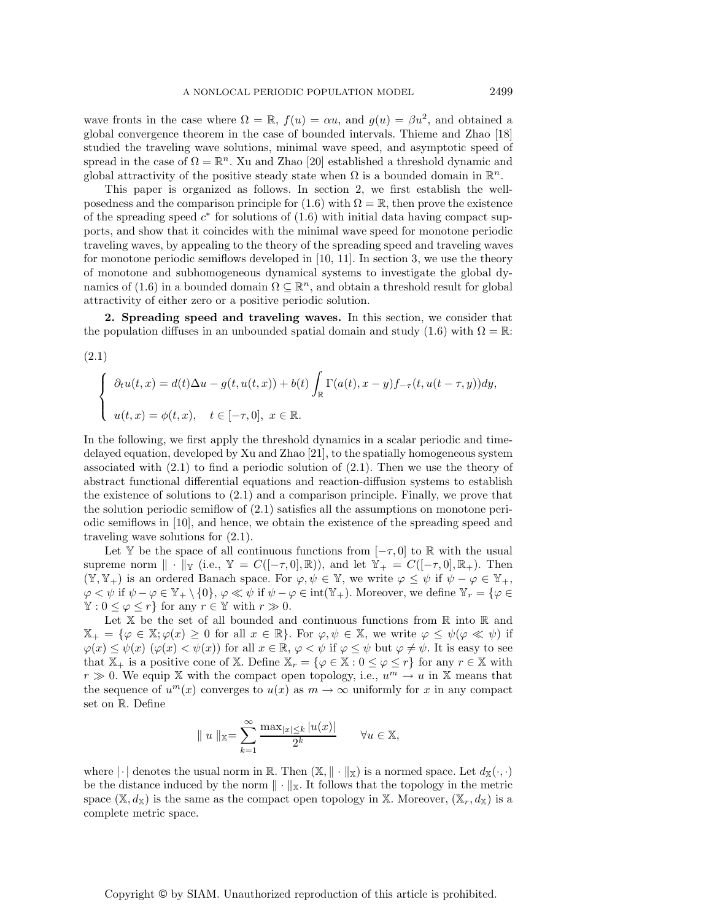wave fronts in the case where  $\Omega = \mathbb{R}$ ,  $f(u) = \alpha u$ , and  $g(u) = \beta u^2$ , and obtained a global convergence theorem in the case of bounded intervals. Thieme and Zhao [18] studied the traveling wave solutions, minimal wave speed, and asymptotic speed of spread in the case of  $\Omega = \mathbb{R}^n$ . Xu and Zhao [20] established a threshold dynamic and global attractivity of the positive steady state when  $\Omega$  is a bounded domain in  $\mathbb{R}^n$ .

This paper is organized as follows. In section 2, we first establish the wellposedness and the comparison principle for (1.6) with  $\Omega = \mathbb{R}$ , then prove the existence of the spreading speed  $c^*$  for solutions of  $(1.6)$  with initial data having compact supports, and show that it coincides with the minimal wave speed for monotone periodic traveling waves, by appealing to the theory of the spreading speed and traveling waves for monotone periodic semiflows developed in [10, 11]. In section 3, we use the theory of monotone and subhomogeneous dynamical systems to investigate the global dynamics of (1.6) in a bounded domain  $\Omega \subseteq \mathbb{R}^n$ , and obtain a threshold result for global attractivity of either zero or a positive periodic solution.

**2. Spreading speed and traveling waves.** In this section, we consider that the population diffuses in an unbounded spatial domain and study (1.6) with  $\Omega = \mathbb{R}$ :

(2.1)

$$
\begin{cases}\n\partial_t u(t,x) = d(t)\Delta u - g(t, u(t,x)) + b(t) \int_{\mathbb{R}} \Gamma(a(t), x - y) f_{-\tau}(t, u(t - \tau, y)) dy, \\
u(t,x) = \phi(t,x), \quad t \in [-\tau, 0], \ x \in \mathbb{R}.\n\end{cases}
$$

In the following, we first apply the threshold dynamics in a scalar periodic and timedelayed equation, developed by Xu and Zhao [21], to the spatially homogeneous system associated with  $(2.1)$  to find a periodic solution of  $(2.1)$ . Then we use the theory of abstract functional differential equations and reaction-diffusion systems to establish the existence of solutions to (2.1) and a comparison principle. Finally, we prove that the solution periodic semiflow of (2.1) satisfies all the assumptions on monotone periodic semiflows in [10], and hence, we obtain the existence of the spreading speed and traveling wave solutions for (2.1).

Let Y be the space of all continuous functions from  $[-\tau,0]$  to R with the usual supreme norm  $\|\cdot\|_{\mathbb{Y}}$  (i.e.,  $\mathbb{Y} = C([-\tau,0], \mathbb{R})$ ), and let  $\mathbb{Y}_{+} = C([-\tau,0], \mathbb{R}_{+})$ . Then  $(\mathbb{Y}, \mathbb{Y}_+)$  is an ordered Banach space. For  $\varphi, \psi \in \mathbb{Y}$ , we write  $\varphi \leq \psi$  if  $\psi - \varphi \in \mathbb{Y}_+$ ,  $\varphi < \psi$  if  $\psi - \varphi \in \mathbb{Y}_+ \setminus \{0\}, \varphi \ll \psi$  if  $\psi - \varphi \in \text{int}(\mathbb{Y}_+)$ . Moreover, we define  $\mathbb{Y}_r = \{\varphi \in \mathbb{Y}_+ \mid \exists \psi \in \mathbb{Y}_r\}$  $\mathbb{Y}: 0 \leq \varphi \leq r$  for any  $r \in \mathbb{Y}$  with  $r \gg 0$ .

Let  $X$  be the set of all bounded and continuous functions from  $\mathbb R$  into  $\mathbb R$  and  $\mathbb{X}_{+} = \{\varphi \in \mathbb{X}; \varphi(x) \geq 0 \text{ for all } x \in \mathbb{R}\}\.$  For  $\varphi, \psi \in \mathbb{X}$ , we write  $\varphi \leq \psi(\varphi \ll \psi)$  if  $\varphi(x) \leq \psi(x)$   $(\varphi(x) < \psi(x))$  for all  $x \in \mathbb{R}$ ,  $\varphi < \psi$  if  $\varphi \leq \psi$  but  $\varphi \neq \psi$ . It is easy to see that  $\mathbb{X}_+$  is a positive cone of X. Define  $\mathbb{X}_r = \{ \varphi \in \mathbb{X} : 0 \leq \varphi \leq r \}$  for any  $r \in \mathbb{X}$  with  $r \gg 0$ . We equip X with the compact open topology, i.e.,  $u^m \to u$  in X means that the sequence of  $u^m(x)$  converges to  $u(x)$  as  $m \to \infty$  uniformly for x in any compact set on R. Define

$$
\|u\|_{\mathbb{X}} = \sum_{k=1}^{\infty} \frac{\max_{|x|\leq k} |u(x)|}{2^k} \quad \forall u \in \mathbb{X},
$$

where  $|\cdot|$  denotes the usual norm in R. Then  $(\mathbb{X}, \|\cdot\|_{\mathbb{X}})$  is a normed space. Let  $d_{\mathbb{X}}(\cdot, \cdot)$ be the distance induced by the norm  $\|\cdot\|_{\mathbb{X}}$ . It follows that the topology in the metric space  $(\mathbb{X}, d_{\mathbb{X}})$  is the same as the compact open topology in X. Moreover,  $(\mathbb{X}_r, d_{\mathbb{X}})$  is a complete metric space.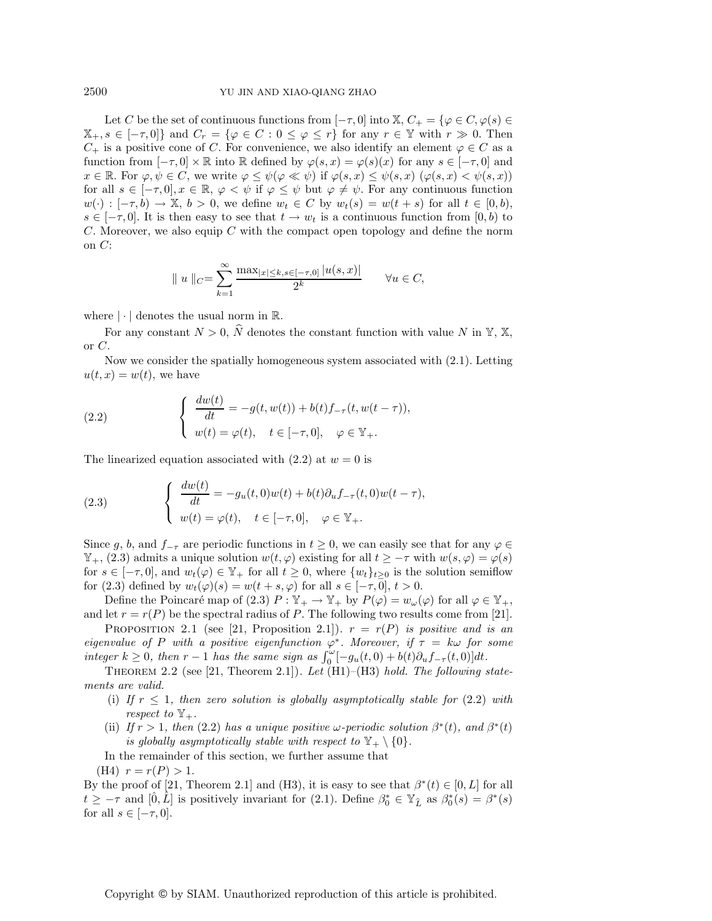Let C be the set of continuous functions from  $[-\tau,0]$  into  $\mathbb{X}, C_+ = {\varphi \in C, \varphi(s) \in \mathbb{X}}$  $\mathbb{X}_{+}, s \in [-\tau, 0]$  and  $C_r = \{ \varphi \in C : 0 \leq \varphi \leq r \}$  for any  $r \in \mathbb{Y}$  with  $r \gg 0$ . Then  $C_+$  is a positive cone of C. For convenience, we also identify an element  $\varphi \in C$  as a function from  $[-\tau, 0] \times \mathbb{R}$  into  $\mathbb R$  defined by  $\varphi(s, x) = \varphi(s)(x)$  for any  $s \in [-\tau, 0]$  and  $x \in \mathbb{R}$ . For  $\varphi, \psi \in C$ , we write  $\varphi \leq \psi(\varphi \ll \psi)$  if  $\varphi(s, x) \leq \psi(s, x)$   $(\varphi(s, x) < \psi(s, x))$ for all  $s \in [-\tau, 0], x \in \mathbb{R}, \varphi < \psi$  if  $\varphi \leq \psi$  but  $\varphi \neq \psi$ . For any continuous function  $w(\cdot):[-\tau, b] \to \mathbb{X}, b > 0$ , we define  $w_t \in C$  by  $w_t(s) = w(t + s)$  for all  $t \in [0, b)$ ,  $s \in [-\tau, 0]$ . It is then easy to see that  $t \to w_t$  is a continuous function from  $[0, b)$  to C. Moreover, we also equip C with the compact open topology and define the norm on  $C$ :

$$
|| u ||_{C} = \sum_{k=1}^{\infty} \frac{\max_{|x| \le k, s \in [-\tau, 0]} |u(s, x)|}{2^k} \quad \forall u \in C,
$$

where  $|\cdot|$  denotes the usual norm in  $\mathbb{R}$ .

For any constant  $N > 0$ ,  $\hat{N}$  denotes the constant function with value N in Y, X, or  $C$ .

Now we consider the spatially homogeneous system associated with (2.1). Letting  $u(t, x) = w(t)$ , we have

(2.2) 
$$
\begin{cases} \frac{dw(t)}{dt} = -g(t, w(t)) + b(t)f_{-\tau}(t, w(t-\tau)), \\ w(t) = \varphi(t), \quad t \in [-\tau, 0], \quad \varphi \in \mathbb{Y}_{+}.\end{cases}
$$

The linearized equation associated with  $(2.2)$  at  $w = 0$  is

(2.3) 
$$
\begin{cases} \frac{dw(t)}{dt} = -g_u(t,0)w(t) + b(t)\partial_u f_{-\tau}(t,0)w(t-\tau), \\ w(t) = \varphi(t), \quad t \in [-\tau,0], \quad \varphi \in \mathbb{Y}_+. \end{cases}
$$

Since g, b, and  $f_{-\tau}$  are periodic functions in  $t \geq 0$ , we can easily see that for any  $\varphi \in$  $\mathbb{Y}_+$ , (2.3) admits a unique solution  $w(t, \varphi)$  existing for all  $t \geq -\tau$  with  $w(s, \varphi) = \varphi(s)$ for  $s \in [-\tau, 0]$ , and  $w_t(\varphi) \in \mathbb{Y}_+$  for all  $t \geq 0$ , where  $\{w_t\}_{t>0}$  is the solution semiflow for (2.3) defined by  $w_t(\varphi)(s) = w(t+s, \varphi)$  for all  $s \in [-\tau, 0], t > 0$ .

Define the Poincaré map of (2.3)  $P : \mathbb{Y}_+ \to \mathbb{Y}_+$  by  $P(\varphi) = w_\omega(\varphi)$  for all  $\varphi \in \mathbb{Y}_+$ , and let  $r = r(P)$  be the spectral radius of P. The following two results come from [21].

PROPOSITION 2.1 (see [21, Proposition 2.1]).  $r = r(P)$  *is positive and is an eigenvalue of* P *with a positive eigenfunction*  $\varphi^*$ *. Moreover, if*  $\tau = k\omega$  *for some integer*  $k \geq 0$ , then  $r - 1$  *has the same sign as*  $\int_0^{\omega} [-g_u(t, 0) + b(t)\partial_u f_{-\tau}(t, 0)]dt$ .<br>There is a set of the same sign as  $\int_0^{\omega} [-g_u(t, 0) + b(t)\partial_u f_{-\tau}(t, 0)]dt$ .

Theorem 2.2 (see [21, Theorem 2.1]). *Let* (H1)–(H3) *hold. The following statements are valid.*

- (i) If  $r \leq 1$ , then zero solution is globally asymptotically stable for  $(2.2)$  with *respect to*  $\mathbb{Y}_{+}$ *.*
- (ii) *If*  $r > 1$ *, then* (2.2) *has a unique positive*  $\omega$ -periodic solution  $\beta^*(t)$ *, and*  $\beta^*(t)$ *is globally asymptotically stable with respect to*  $\mathbb{Y}_+ \setminus \{0\}.$

In the remainder of this section, we further assume that

(H4)  $r = r(P) > 1$ .

By the proof of [21, Theorem 2.1] and (H3), it is easy to see that  $\beta^*(t) \in [0, L]$  for all  $t \ge -\tau$  and  $[\hat{0}, \hat{L}]$  is positively invariant for (2.1). Define  $\beta_0^* \in \mathbb{Y}_{\hat{L}}$  as  $\beta_0^*(s) = \beta^*(s)$  for all  $s \in [-\tau, 0]$ for all  $s \in [-\tau, 0]$ .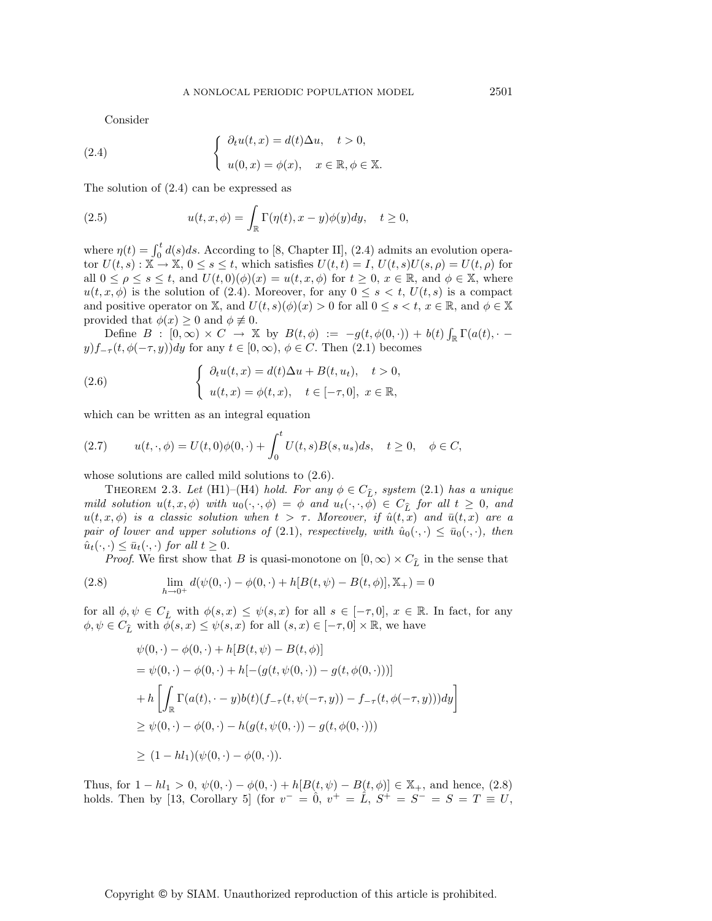Consider

(2.4) 
$$
\begin{cases} \partial_t u(t,x) = d(t) \Delta u, \quad t > 0, \\ u(0,x) = \phi(x), \quad x \in \mathbb{R}, \phi \in \mathbb{X}. \end{cases}
$$

The solution of (2.4) can be expressed as

(2.5) 
$$
u(t, x, \phi) = \int_{\mathbb{R}} \Gamma(\eta(t), x - y) \phi(y) dy, \quad t \ge 0,
$$

where  $\eta(t) = \int_0^t d(s)ds$ . According to [8, Chapter II], (2.4) admits an evolution operator  $U(t, s) : \mathbb{X} \to \mathbb{X}, 0 \le s \le t$ , which satisfies  $U(t, t) = I$ ,  $U(t, s)U(s, \rho) = U(t, \rho)$  for all  $0 \leq \rho \leq s \leq t$ , and  $U(t, 0)(\phi)(x) = u(t, x, \phi)$  for  $t \geq 0$ ,  $x \in \mathbb{R}$ , and  $\phi \in \mathbb{X}$ , where  $u(t, x, \phi)$  is the solution of (2.4). Moreover, for any  $0 \leq s < t$ ,  $U(t, s)$  is a compact and positive operator on X, and  $U(t, s)(\phi)(x) > 0$  for all  $0 \le s < t, x \in \mathbb{R}$ , and  $\phi \in \mathbb{X}$ provided that  $\phi(x) \geq 0$  and  $\phi \neq 0$ .

Define  $B : [0, \infty) \times C \rightarrow \mathbb{X}$  by  $B(t, \phi) := -g(t, \phi(0, \cdot)) + b(t) \int_{\mathbb{R}} \Gamma(a(t), \cdot)$  $y$  $f_{-\tau}(t, \phi(-\tau, y))dy$  for any  $t \in [0, \infty), \phi \in C$ . Then  $(2.1)$  becomes

(2.6) 
$$
\begin{cases} \partial_t u(t,x) = d(t)\Delta u + B(t,u_t), & t > 0, \\ u(t,x) = \phi(t,x), & t \in [-\tau,0], \ x \in \mathbb{R}, \end{cases}
$$

which can be written as an integral equation

(2.7) 
$$
u(t, \cdot, \phi) = U(t, 0)\phi(0, \cdot) + \int_0^t U(t, s)B(s, u_s)ds, \quad t \ge 0, \quad \phi \in C,
$$

whose solutions are called mild solutions to (2.6).

THEOREM 2.3. *Let* (H1)–(H4) *hold. For any*  $\phi \in C_{\hat{L}}$ , system (2.1) *has a unique*<br>*l* solution  $u(x, \phi)$  with  $u_0(x, \phi) = \phi$  and  $u_1(x, \phi) \in C_{\hat{L}}$  for all  $t > 0$  and *mild solution*  $u(t, x, \phi)$  *with*  $u_0(\cdot, \cdot, \phi) = \phi$  *and*  $u_t(\cdot, \cdot, \phi) \in C_{\hat{L}}$  *for all*  $t \geq 0$ *, and*  $u(t, x, \phi)$  *is a classic solution when*  $t > \tau$ . Moreover, *if*  $\hat{u}(t, x)$  *and*  $\bar{u}(t, x)$  *are a pair of lower and upper solutions of* (2.1), *respectively, with*  $\hat{u}_0(\cdot, \cdot) \leq \bar{u}_0(\cdot, \cdot)$ *, then*  $\hat{u}_t(\cdot,\cdot) \leq \bar{u}_t(\cdot,\cdot)$  *for all*  $t \geq 0$ *.* 

*Proof.* We first show that B is quasi-monotone on  $[0, \infty) \times C_{\hat{L}}$  in the sense that

(2.8) 
$$
\lim_{h \to 0^+} d(\psi(0, \cdot) - \phi(0, \cdot) + h[B(t, \psi) - B(t, \phi)], \mathbb{X}_+) = 0
$$

for all  $\phi, \psi \in C_{\hat{L}}$  with  $\phi(s, x) \leq \psi(s, x)$  for all  $s \in [-\tau, 0], x \in \mathbb{R}$ . In fact, for any  $\phi, \psi \in C_{\infty}$  with  $\phi(s, x) \leq \psi(s, x)$  for all  $(s, x) \in [-\tau, 0] \times \mathbb{R}$  we have  $\phi, \psi \in C_{\widehat{L}}$  with  $\widetilde{\phi}(s, x) \leq \psi(s, x)$  for all  $(s, x) \in [-\tau, 0] \times \mathbb{R}$ , we have

$$
\psi(0,\cdot) - \phi(0,\cdot) + h[B(t,\psi) - B(t,\phi)]
$$
  
=  $\psi(0,\cdot) - \phi(0,\cdot) + h[-(g(t,\psi(0,\cdot)) - g(t,\phi(0,\cdot)))]$   
+  $h\left[\int_{\mathbb{R}} \Gamma(a(t),\cdot - y)b(t)(f_{-\tau}(t,\psi(-\tau,y)) - f_{-\tau}(t,\phi(-\tau,y)))dy\right]$   
 $\geq \psi(0,\cdot) - \phi(0,\cdot) - h(g(t,\psi(0,\cdot)) - g(t,\phi(0,\cdot)))$   
 $\geq (1 - hl_1)(\psi(0,\cdot) - \phi(0,\cdot)).$ 

Thus, for  $1 - hl_1 > 0$ ,  $\psi(0, \cdot) - \phi(0, \cdot) + h[B(t, \psi) - B(t, \phi)] \in \mathbb{X}_+$ , and hence, (2.8) holds. Then by [13, Corollary 5] (for  $v^- = 0$ ,  $v^+ = \hat{L}$ ,  $S^+ = S^- = S = T \equiv U$ ,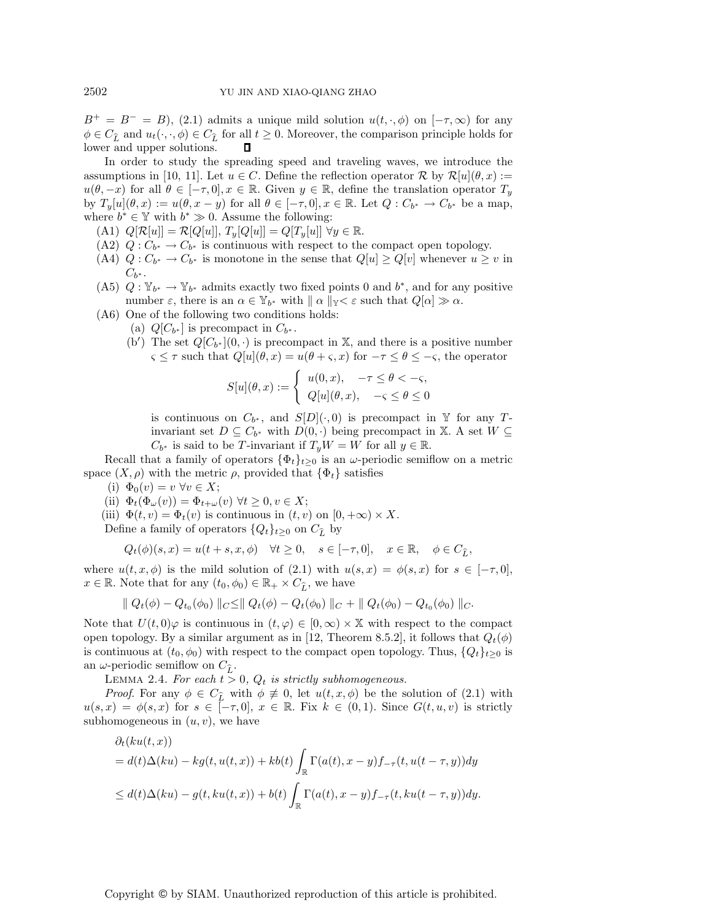$B^+ = B^- = B$ ), (2.1) admits a unique mild solution  $u(t, \cdot, \phi)$  on  $[-\tau, \infty)$  for any  $\phi \in C_{\hat{L}}$  and  $u_t(\cdot, \cdot, \phi) \in C_{\hat{L}}$  for all  $t \geq 0$ . Moreover, the comparison principle holds for lower and upper solutions lower and upper solutions.

In order to study the spreading speed and traveling waves, we introduce the assumptions in [10, 11]. Let  $u \in C$ . Define the reflection operator R by  $\mathcal{R}[u](\theta, x) :=$  $u(\theta, -x)$  for all  $\theta \in [-\tau, 0], x \in \mathbb{R}$ . Given  $y \in \mathbb{R}$ , define the translation operator  $T_y$ by  $T_y[u](\theta, x) := u(\theta, x - y)$  for all  $\theta \in [-\tau, 0], x \in \mathbb{R}$ . Let  $Q: C_{b^*} \to C_{b^*}$  be a map, where  $b^* \in \mathbb{Y}$  with  $b^* \gg 0$ . Assume the following:

- (A1)  $Q[\mathcal{R}[u]] = \mathcal{R}[Q[u]]$ ,  $T_u[Q[u]] = Q[T_u[u]] \; \forall y \in \mathbb{R}$ .
- (A2)  $Q: C_{b^*} \to C_{b^*}$  is continuous with respect to the compact open topology.
- (A4)  $Q: C_{b^*} \to C_{b^*}$  is monotone in the sense that  $Q[u] \geq Q[v]$  whenever  $u \geq v$  in  $C_{b^*}.$
- (A5)  $Q: \mathbb{Y}_{b^*} \to \mathbb{Y}_{b^*}$  admits exactly two fixed points 0 and  $b^*$ , and for any positive number  $\varepsilon$ , there is an  $\alpha \in \mathbb{Y}_{b^*}$  with  $\|\alpha\|_{\mathbb{Y}} < \varepsilon$  such that  $Q[\alpha] \gg \alpha$ .
- (A6) One of the following two conditions holds:
	- (a)  $Q[C_{b^*}]$  is precompact in  $C_{b^*}$ .
	- (b') The set  $Q[C_{b^*}](0, \cdot)$  is precompact in X, and there is a positive number  $\varsigma \leq \tau$  such that  $Q[u](\theta, x) = u(\theta + \varsigma, x)$  for  $-\tau \leq \theta \leq -\varsigma$ , the operator

$$
S[u](\theta,x):=\left\{\begin{array}{ll} u(0,x), & -\tau\leq\theta<-\varsigma, \\ Q[u](\theta,x), & -\varsigma\leq\theta\leq 0 \end{array}\right.
$$

is continuous on  $C_{b^*}$ , and  $S[D](\cdot, 0)$  is precompact in Y for any Tinvariant set  $D \subseteq C_{b^*}$  with  $D(0, \cdot)$  being precompact in X. A set  $W \subseteq$  $C_{b^*}$  is said to be T-invariant if  $T_yW = W$  for all  $y \in \mathbb{R}$ .

Recall that a family of operators  $\{\Phi_t\}_{t>0}$  is an  $\omega$ -periodic semiflow on a metric space  $(X, \rho)$  with the metric  $\rho$ , provided that  $\{\Phi_t\}$  satisfies

- (i)  $\Phi_0(v) = v \,\forall v \in X;$
- (ii)  $\Phi_t(\Phi_\omega(v)) = \Phi_{t+\omega}(v) \ \forall t \geq 0, v \in X;$

(iii)  $\Phi(t, v) = \Phi_t(v)$  is continuous in  $(t, v)$  on  $[0, +\infty) \times X$ .

Define a family of operators  $\{Q_t\}_{t\geq 0}$  on  $C_{\hat{L}}$  by

$$
Q_t(\phi)(s,x) = u(t+s,x,\phi) \quad \forall t \ge 0, \quad s \in [-\tau,0], \quad x \in \mathbb{R}, \quad \phi \in C_{\widehat{L}},
$$

where  $u(t, x, \phi)$  is the mild solution of (2.1) with  $u(s, x) = \phi(s, x)$  for  $s \in [-\tau, 0],$  $x \in \mathbb{R}$ . Note that for any  $(t_0, \phi_0) \in \mathbb{R}_+ \times C_{\hat{L}}$ , we have

$$
\| Q_t(\phi) - Q_{t_0}(\phi_0) \|_{C} \leq \| Q_t(\phi) - Q_t(\phi_0) \|_{C} + \| Q_t(\phi_0) - Q_{t_0}(\phi_0) \|_{C}.
$$

Note that  $U(t,0)\varphi$  is continuous in  $(t,\varphi) \in [0,\infty) \times \mathbb{X}$  with respect to the compact open topology. By a similar argument as in [12, Theorem 8.5.2], it follows that  $Q_t(\phi)$ is continuous at  $(t_0, \phi_0)$  with respect to the compact open topology. Thus,  $\{Q_t\}_{t>0}$  is an  $\omega$ -periodic semiflow on  $C_{\hat{L}}$ .<br>LEMMA 2.4 For each  $t >$ 

LEMMA 2.4. For each  $t > 0$ ,  $Q_t$  *is strictly subhomogeneous.* 

*Proof.* For any  $\phi \in C_{\hat{L}}$  with  $\phi \neq 0$ , let  $u(t, x, \phi)$  be the solution of (2.1) with  $x$ )  $-\phi(s, x)$  for  $s \in [-\tau, 0]$   $x \in \mathbb{R}$ . Fix  $k \in (0, 1)$ . Since  $G(t, u, v)$  is strictly  $u(s, x) = \phi(s, x)$  for  $s \in [-\tau, 0], x \in \mathbb{R}$ . Fix  $k \in (0, 1)$ . Since  $G(t, u, v)$  is strictly subhomogeneous in  $(u, v)$ , we have

$$
\partial_t(ku(t,x))
$$
  
=  $d(t)\Delta(ku) - kg(t, u(t,x)) + kb(t) \int_{\mathbb{R}} \Gamma(a(t), x - y) f_{-\tau}(t, u(t - \tau, y)) dy$   
 $\leq d(t)\Delta(ku) - g(t, ku(t,x)) + b(t) \int_{\mathbb{R}} \Gamma(a(t), x - y) f_{-\tau}(t, ku(t - \tau, y)) dy.$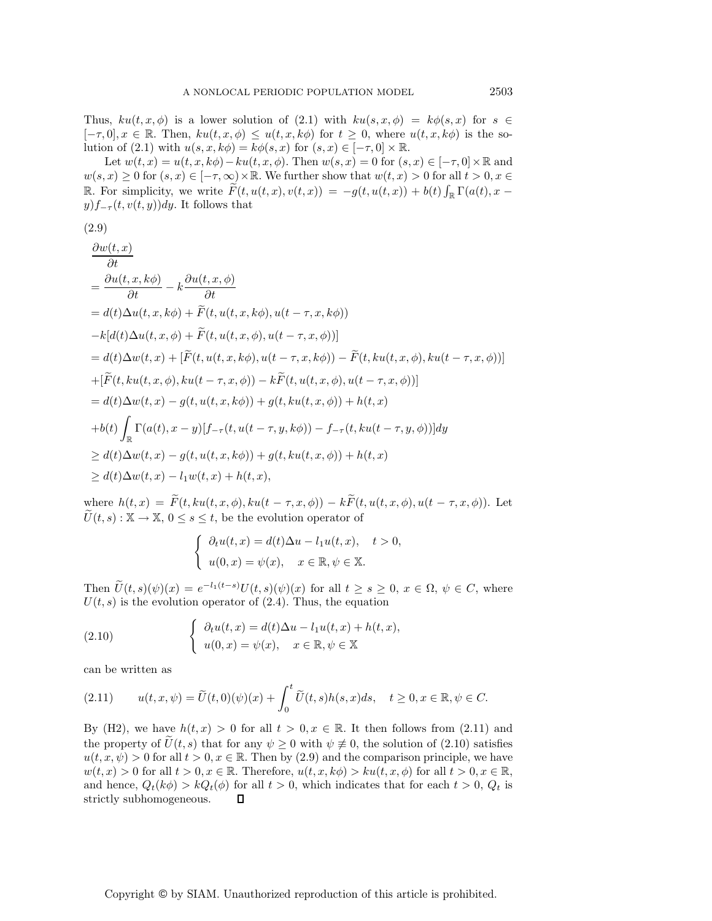Thus,  $ku(t, x, \phi)$  is a lower solution of (2.1) with  $ku(s, x, \phi) = k\phi(s, x)$  for  $s \in$  $[-\tau, 0], x \in \mathbb{R}$ . Then,  $ku(t, x, \phi) \leq u(t, x, k\phi)$  for  $t \geq 0$ , where  $u(t, x, k\phi)$  is the solution of (2.1) with  $u(s, x, k\phi) = k\phi(s, x)$  for  $(s, x) \in [-\tau, 0] \times \mathbb{R}$ .

Let  $w(t, x) = u(t, x, k\phi) - ku(t, x, \phi)$ . Then  $w(s, x) = 0$  for  $(s, x) \in [-\tau, 0] \times \mathbb{R}$  and  $w(s, x) \geq 0$  for  $(s, x) \in [-\tau, \infty) \times \mathbb{R}$ . We further show that  $w(t, x) > 0$  for all  $t > 0, x \in$ R. For simplicity, we write  $\widetilde{F}(t, u(t,x), v(t,x)) = -g(t, u(t,x)) + b(t) \int_{\mathbb{R}} \Gamma(a(t), x$  $y) f_{-\tau}(t, v(t, y)) dy$ . It follows that

$$
(2.9)
$$

$$
\frac{\partial w(t,x)}{\partial t}
$$
\n
$$
= \frac{\partial u(t,x,k\phi)}{\partial t} - k \frac{\partial u(t,x,\phi)}{\partial t}
$$
\n
$$
= d(t)\Delta u(t,x,k\phi) + \widetilde{F}(t,u(t,x,k\phi),u(t-\tau,x,k\phi))
$$
\n
$$
-k[d(t)\Delta u(t,x,\phi) + \widetilde{F}(t,u(t,x,\phi),u(t-\tau,x,\phi))]
$$
\n
$$
= d(t)\Delta w(t,x) + [\widetilde{F}(t,u(t,x,k\phi),u(t-\tau,x,k\phi)) - \widetilde{F}(t,ku(t,x,\phi),ku(t-\tau,x,\phi))]
$$
\n
$$
+ [\widetilde{F}(t,ku(t,x,\phi),ku(t-\tau,x,\phi)) - k\widetilde{F}(t,u(t,x,\phi),u(t-\tau,x,\phi))]
$$
\n
$$
= d(t)\Delta w(t,x) - g(t,u(t,x,k\phi)) + g(t,ku(t,x,\phi)) + h(t,x)
$$
\n
$$
+ b(t) \int_{\mathbb{R}} \Gamma(a(t),x-y)[f_{-\tau}(t,u(t-\tau,y,k\phi)) - f_{-\tau}(t,ku(t-\tau,y,\phi))]dy
$$
\n
$$
\geq d(t)\Delta w(t,x) - g(t,u(t,x,k\phi)) + g(t,ku(t,x,\phi)) + h(t,x)
$$
\n
$$
\geq d(t)\Delta w(t,x) - l_1 w(t,x) + h(t,x),
$$

where  $h(t, x) = \widetilde{F}(t, ku(t, x, \phi), ku(t - \tau, x, \phi)) - k\widetilde{F}(t, u(t, x, \phi), u(t - \tau, x, \phi)).$  Let  $\widetilde{U}(t, s) : \mathbb{X} \to \mathbb{X}, 0 \leq s \leq t$ , be the evolution operator of

$$
\begin{cases} \n\partial_t u(t,x) = d(t)\Delta u - l_1 u(t,x), \quad t > 0, \\ \nu(0,x) = \psi(x), \quad x \in \mathbb{R}, \psi \in \mathbb{X}. \n\end{cases}
$$

Then  $U(t,s)(\psi)(x) = e^{-l_1(t-s)}U(t,s)(\psi)(x)$  for all  $t \geq s \geq 0, x \in \Omega, \psi \in C$ , where  $U(t, s)$  is the evolution operator of (2.4). Thus, the equation

(2.10) 
$$
\begin{cases} \partial_t u(t,x) = d(t)\Delta u - l_1 u(t,x) + h(t,x), \\ u(0,x) = \psi(x), \quad x \in \mathbb{R}, \psi \in \mathbb{X} \end{cases}
$$

can be written as

$$
(2.11) \t u(t,x,\psi) = \widetilde{U}(t,0)(\psi)(x) + \int_0^t \widetilde{U}(t,s)h(s,x)ds, \quad t \ge 0, x \in \mathbb{R}, \psi \in C.
$$

By (H2), we have  $h(t, x) > 0$  for all  $t > 0, x \in \mathbb{R}$ . It then follows from (2.11) and the property of  $U(t, s)$  that for any  $\psi \geq 0$  with  $\psi \neq 0$ , the solution of (2.10) satisfies  $u(t, x, \psi) > 0$  for all  $t > 0, x \in \mathbb{R}$ . Then by (2.9) and the comparison principle, we have  $w(t, x) > 0$  for all  $t > 0, x \in \mathbb{R}$ . Therefore,  $u(t, x, k\phi) > ku(t, x, \phi)$  for all  $t > 0, x \in \mathbb{R}$ , and hence,  $Q_t(k\phi) > kQ_t(\phi)$  for all  $t > 0$ , which indicates that for each  $t > 0$ ,  $Q_t$  is strictly subhomogeneous. strictly subhomogeneous.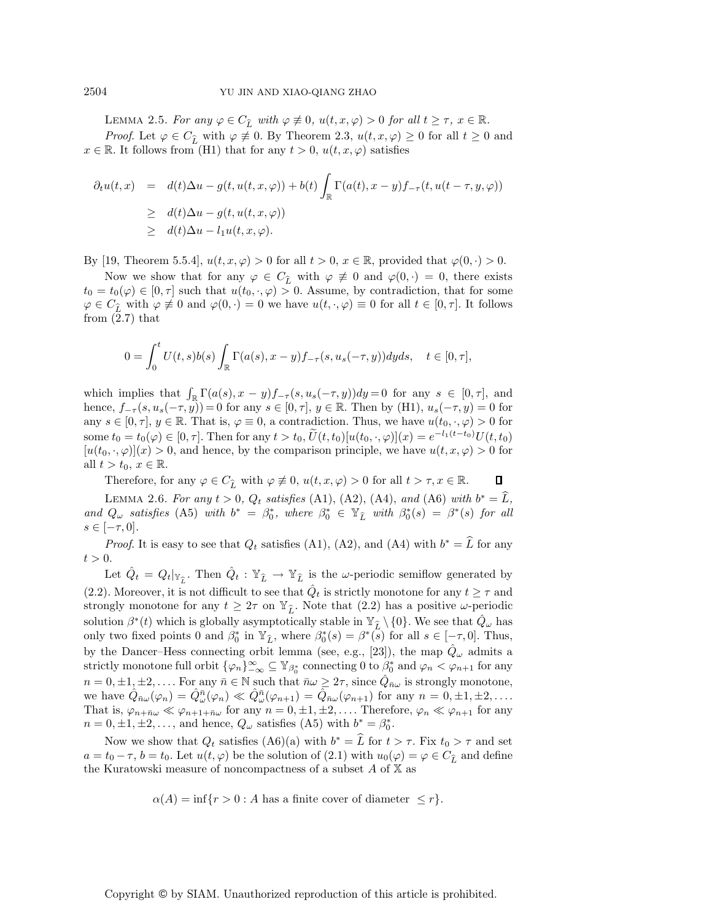LEMMA 2.5. *For any*  $\varphi \in C_{\hat{L}}$  with  $\varphi \neq 0$ ,  $u(t, x, \varphi) > 0$  *for all*  $t \geq \tau$ ,  $x \in \mathbb{R}$ .<br>*Passet* Let  $\varphi \in C$ , with  $\varphi \neq 0$ . Preference  $2, 2, u(t, x, \varphi) > 0$  for all  $t > 0$ . *Proof.* Let  $\varphi \in C_{\hat{L}}$  with  $\varphi \neq 0$ . By Theorem 2.3,  $u(t, x, \varphi) \geq 0$  for all  $t \geq 0$  and  $\mathbb{R}$ . It follows from (H1) that for any  $t > 0$ ,  $u(t, x, \varphi)$  satisfies  $x \in \mathbb{R}$ . It follows from (H1) that for any  $t > 0$ ,  $u(t, x, \varphi)$  satisfies

$$
\partial_t u(t,x) = d(t)\Delta u - g(t, u(t,x,\varphi)) + b(t) \int_{\mathbb{R}} \Gamma(a(t),x-y) f_{-\tau}(t, u(t-\tau,y,\varphi))
$$
  
\n
$$
\geq d(t)\Delta u - g(t, u(t,x,\varphi))
$$
  
\n
$$
\geq d(t)\Delta u - l_1 u(t,x,\varphi).
$$

By [19, Theorem 5.5.4],  $u(t, x, \varphi) > 0$  for all  $t > 0$ ,  $x \in \mathbb{R}$ , provided that  $\varphi(0, \cdot) > 0$ .

Now we show that for any  $\varphi \in C_{\hat{L}}$  with  $\varphi \not\equiv 0$  and  $\varphi(0, \cdot) = 0$ , there exists  $\psi(\alpha) \in [0, \tau]$  such that  $\psi(t_0, \alpha) > 0$ . Assume by contradiction that for some  $t_0 = t_0(\varphi) \in [0, \tau]$  such that  $u(t_0, \cdot, \varphi) > 0$ . Assume, by contradiction, that for some  $\varphi \in C_{\hat{L}}$  with  $\varphi \not\equiv 0$  and  $\varphi(0, \cdot) = 0$  we have  $u(t, \cdot, \varphi) \equiv 0$  for all  $t \in [0, \tau]$ . It follows from (2.7) that from  $(2.7)$  that

$$
0 = \int_0^t U(t,s)b(s) \int_{\mathbb{R}} \Gamma(a(s),x-y)f_{-\tau}(s,u_s(-\tau,y))dyds, \quad t \in [0,\tau],
$$

which implies that  $\int_{\mathbb{R}} \Gamma(a(s), x - y) f_{-\tau}(s, u_s(-\tau, y)) dy = 0$  for any  $s \in [0, \tau]$ , and hence,  $f_{-\tau}(s, u_s(-\tau, y)) = 0$  for any  $s \in [0, \tau]$ ,  $y \in \mathbb{R}$ . Then by (H1),  $u_s(-\tau, y) = 0$  for any  $s \in [0, \tau], y \in \mathbb{R}$ . That is,  $\varphi \equiv 0$ , a contradiction. Thus, we have  $u(t_0, \cdot, \varphi) > 0$  for some  $t_0 = t_0(\varphi) \in [0, \tau]$ . Then for any  $t > t_0$ ,  $U(t, t_0)[u(t_0, \cdot, \varphi)](x) = e^{-l_1(t-t_0)}U(t, t_0)$  $[u(t_0, \cdot, \varphi)](x) > 0$ , and hence, by the comparison principle, we have  $u(t, x, \varphi) > 0$  for all  $t>t_0, x \in \mathbb{R}$ .

Therefore, for any  $\varphi \in C_{\widehat{L}}$  with  $\varphi \neq 0$ ,  $u(t, x, \varphi) > 0$  for all  $t > \tau, x \in \mathbb{R}$ .  $\Box$ 

LEMMA 2.6. For any  $t > 0$ ,  $Q_t$  satisfies (A1), (A2), (A4), and (A6) with  $b^* = \hat{L}$ , *and*  $Q_{\omega}$  *satisfies* (A5) *with*  $b^* = \beta_0^*$ , *where*  $\beta_0^* \in \mathbb{Y}_{\tilde{L}}$  *with*  $\beta_0^*(s) = \beta^*(s)$  *for all*  $s \in [-\tau, 0]$  $s \in [-\tau, 0].$ 

*Proof.* It is easy to see that  $Q_t$  satisfies (A1), (A2), and (A4) with  $b^* = \hat{L}$  for any  $t > 0$ .

Let  $\hat{Q}_t = Q_t|_{\mathbb{Y}_{\widehat{L}}}$ . Then  $\hat{Q}_t : \mathbb{Y}_{\widehat{L}} \to \mathbb{Y}_{\widehat{L}}$  is the  $\omega$ -periodic semiflow generated by (2.2). Moreover, it is not difficult to see that  $Q_t$  is strictly monotone for any  $t \geq \tau$  and strongly monotone for any  $t \geq 2\tau$  on  $\mathbb{Y}_{\hat{L}}$ . Note that  $(2.2)$  has a positive  $\omega$ -periodic colution  $\mathbb{P}^{*}(t)$  which is globally computationly stable in  $\mathbb{Y}_{\lambda} \setminus \{0\}$ . We see that  $\hat{O}$  has solution  $\beta^*(t)$  which is globally asymptotically stable in  $\mathbb{Y}_{\hat{L}} \setminus \{0\}$ . We see that  $\hat{Q}_{\omega}$  has only two fixed points 0 and  $\beta_0^*$  in  $\mathbb{Y}_{\hat{L}}$ , where  $\beta_0^*(s) = \beta^*(s)$  for all  $s \in [-\tau, 0]$ . Thus, by the Dancer–Hess connecting orbit lemma (see, e.g., [23]), the map  $\hat{Q}_{\omega}$  admits a strictly monotone full orbit  $\{\varphi_n\}_{-\infty}^{\infty} \subseteq \mathbb{Y}_{\beta_0^*}$  connecting 0 to  $\beta_0^*$  and  $\varphi_n < \varphi_{n+1}$  for any  $n = 0, \pm 1, \pm 2, \ldots$  For any  $\bar{n} \in \mathbb{N}$  such that  $\bar{n}\omega \geq 2\tau$ , since  $\hat{Q}_{\bar{n}\omega}$  is strongly monotone, we have  $\hat{Q}_{\bar{n}\omega}(\varphi_n) = \hat{Q}_{\omega}^{\bar{n}}(\varphi_n) \ll \hat{Q}_{\omega}^{\bar{n}}(\varphi_{n+1}) = \hat{Q}_{\bar{n}\omega}(\varphi_{n+1})$  for any  $n = 0, \pm 1, \pm 2, \ldots$ .<br>That is  $\hat{Q}_{\omega}(\varphi_n) \ll \hat{Q}_{\omega}(\varphi_n)$  for any  $n = 0, \pm 1, \pm 2, \ldots$ . That is,  $\varphi_{n+\bar{n}\omega} \ll \varphi_{n+1+\bar{n}\omega}$  for any  $n = 0, \pm 1, \pm 2, \ldots$ . Therefore,  $\varphi_n \ll \varphi_{n+1}$  for any  $n = 0, \pm 1, \pm 2, \dots$ , and hence,  $Q_{\omega}$  satisfies (A5) with  $b^* = \beta_0^*$ .

Now we show that  $Q_t$  satisfies  $(16)(a)$  with  $b^* = \hat{L}$  for  $t > \tau$ . Fix  $t_0 > \tau$  and set  $a = t_0 - \tau$ ,  $b = t_0$ . Let  $u(t, \varphi)$  be the solution of (2.1) with  $u_0(\varphi) = \varphi \in C_{\hat{L}}$  and define the Kuratowski measure of noncompactness of a subset A of X as the Kuratowski measure of noncompactness of a subset  $A$  of  $X$  as

 $\alpha(A) = \inf \{ r > 0 : A$  has a finite cover of diameter  $\leq r \}.$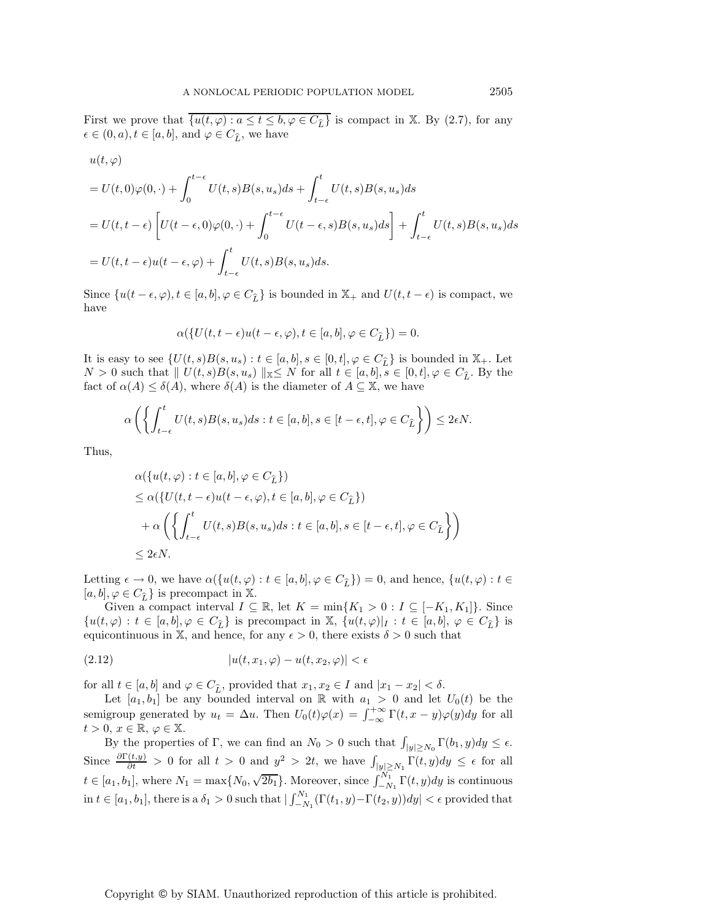First we prove that  $\overline{\{u(t,\varphi): a \le t \le b, \varphi \in C_{\widehat{L}}\}}$  is compact in X. By (2.7), for any  $\epsilon \in (0, a)$   $t \in [a, b]$  and  $(a \in C_{\epsilon})$  we have  $\epsilon \in (0, a), t \in [a, b], \text{ and } \varphi \in C_{\widehat{L}}, \text{ we have}$ 

$$
u(t,\varphi)
$$

$$
= U(t,0)\varphi(0,\cdot) + \int_0^{t-\epsilon} U(t,s)B(s,u_s)ds + \int_{t-\epsilon}^t U(t,s)B(s,u_s)ds
$$
  

$$
= U(t,t-\epsilon) \left[ U(t-\epsilon,0)\varphi(0,\cdot) + \int_0^{t-\epsilon} U(t-\epsilon,s)B(s,u_s)ds \right] + \int_{t-\epsilon}^t U(t,s)B(s,u_s)ds
$$
  

$$
= U(t,t-\epsilon)u(t-\epsilon,\varphi) + \int_{t-\epsilon}^t U(t,s)B(s,u_s)ds.
$$

Since  $\{u(t-\epsilon, \varphi), t \in [a, b], \varphi \in C_{\widehat{L}}\}$  is bounded in  $\mathbb{X}_+$  and  $U(t, t - \epsilon)$  is compact, we have have

$$
\alpha({U(t, t - \epsilon)u(t - \epsilon, \varphi), t \in [a, b], \varphi \in C_{\widehat{L}}}) = 0.
$$

It is easy to see  $\{U(t,s)B(s, u_s): t \in [a, b], s \in [0, t], \varphi \in C_{\widehat{L}}\}$  is bounded in  $\mathbb{X}_+$ . Let  $N > 0$  such that  $|| U(t, s)B(s, u_s)||_{\mathbb{X}} \leq N$  for all  $t \in [a, b], s \in [0, t], \varphi \in C_{\hat{L}}$ . By the fact of  $\alpha(A) \leq \delta(A)$ , where  $\delta(A)$  is the diameter of  $A \subseteq \mathbb{X}$ , we have

$$
\alpha\left(\left\{\int_{t-\epsilon}^t U(t,s)B(s,u_s)ds : t\in [a,b], s\in [t-\epsilon,t], \varphi\in C_{\widehat{L}}\right\}\right)\leq 2\epsilon N.
$$

Thus,

$$
\alpha(\{u(t,\varphi):t\in[a,b],\varphi\in C_{\widehat{L}}\})
$$
  
\n
$$
\leq \alpha(\{U(t,t-\epsilon)u(t-\epsilon,\varphi),t\in[a,b],\varphi\in C_{\widehat{L}}\})
$$
  
\n
$$
+ \alpha\left(\left\{\int_{t-\epsilon}^{t} U(t,s)B(s,u_s)ds : t\in[a,b],s\in[t-\epsilon,t],\varphi\in C_{\widehat{L}}\right\}\right)
$$
  
\n
$$
\leq 2\epsilon N.
$$

Letting  $\epsilon \to 0$ , we have  $\alpha({u(t, \varphi) : t \in [a, b], \varphi \in C_{\hat{L}}}) = 0$ , and hence,  ${u(t, \varphi) : t \in [a, b], \varphi \in C_{\hat{L}}}\$  is precompact in  $\mathbb{X}$  $[a, b], \varphi \in C_{\widehat{L}}\}$  is precompact in X.<br>Given a compact interval  $I \subset$ 

Given a compact interval  $I \subseteq \mathbb{R}$ , let  $K = \min\{K_1 > 0 : I \subseteq [-K_1, K_1]\}$ . Since  $\{u(t, \varphi): t \in [a, b], \varphi \in C_{\hat{L}}\}$  is precompact in  $\mathbb{X}, \{u(t, \varphi)|_I : t \in [a, b], \varphi \in C_{\hat{L}}\}$  is equicontinuous in  $\mathbb{X}$  and hence for any  $\epsilon > 0$  there exists  $\delta > 0$  such that equicontinuous in X, and hence, for any  $\epsilon > 0$ , there exists  $\delta > 0$  such that

$$
(2.12) \qquad |u(t, x_1, \varphi) - u(t, x_2, \varphi)| < \epsilon
$$

for all  $t \in [a, b]$  and  $\varphi \in C_{\widehat{L}}$ , provided that  $x_1, x_2 \in I$  and  $|x_1 - x_2| < \delta$ .<br>Let  $[a, b]$  be any bounded interval on  $\mathbb{R}$  with  $a_1 > 0$  and let

Let [a<sub>1</sub>, b<sub>1</sub>] be any bounded interval on R with  $a_1 > 0$  and let  $U_0(t)$  be the semigroup generated by  $u_t = \Delta u$ . Then  $U_0(t)\varphi(x) = \int_{-\infty}^{+\infty} \Gamma(t, x - y)\varphi(y)dy$  for all  $t > 0, x \in \mathbb{R}, \varphi \in \mathbb{X}.$ 

By the properties of Γ, we can find an  $N_0 > 0$  such that  $\int_{|y| \ge N_0} \Gamma(b_1, y) dy \le \epsilon$ . Since  $\frac{\partial \Gamma(t,y)}{\partial t} > 0$  for all  $t > 0$  and  $y^2 > 2t$ , we have  $\int_{|y| \ge N_1} \Gamma(t,y) dy \le \epsilon$  for all  $t \in [a_1, b_1]$ , where  $N_1 = \max\{N_0, \sqrt{2b_1}\}\.$  Moreover, since  $\int_{-N_1}^{N_1} \Gamma(t, y) dy$  is continuous in  $t \in [a_1, b_1]$ , there is a  $\delta_1 > 0$  such that  $\left| \int_{-\infty}^{N_1}$  $-\frac{N}{N_1}(\Gamma(t_1,y)-\Gamma(t_2,y))dy| < \epsilon$  provided that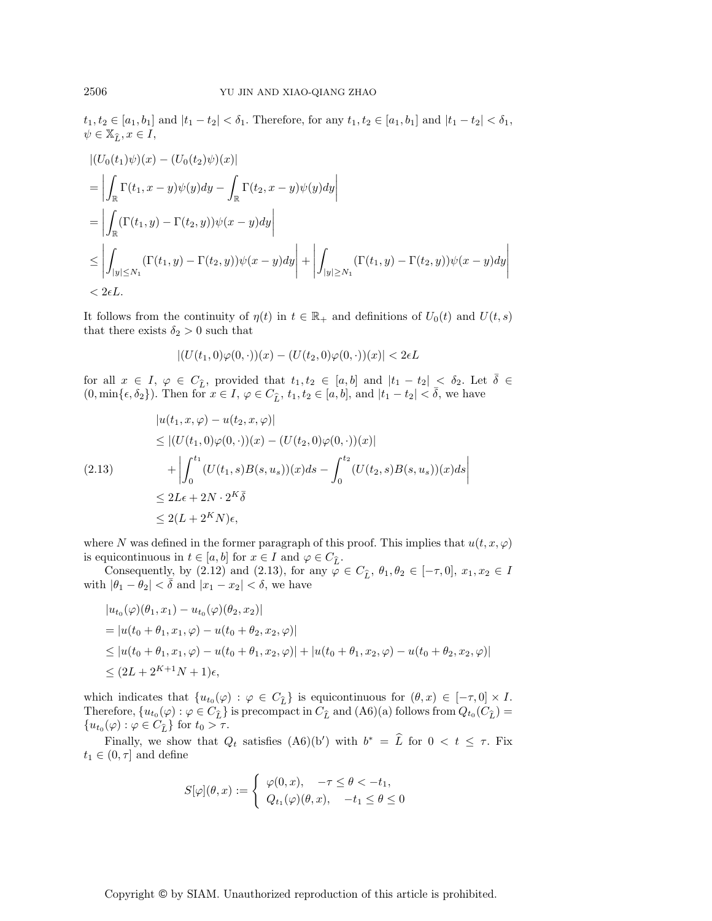$t_1, t_2 \in [a_1, b_1]$  and  $|t_1 - t_2| < \delta_1$ . Therefore, for any  $t_1, t_2 \in [a_1, b_1]$  and  $|t_1 - t_2| < \delta_1$ ,  $\psi \in \mathbb{X}_{\widehat{L}}, x \in I,$ 

$$
\begin{aligned} &\left| (U_0(t_1)\psi)(x) - (U_0(t_2)\psi)(x) \right| \\ &= \left| \int_{\mathbb{R}} \Gamma(t_1, x - y)\psi(y) dy - \int_{\mathbb{R}} \Gamma(t_2, x - y)\psi(y) dy \right| \\ &= \left| \int_{\mathbb{R}} (\Gamma(t_1, y) - \Gamma(t_2, y))\psi(x - y) dy \right| \\ &\leq \left| \int_{|y| \leq N_1} (\Gamma(t_1, y) - \Gamma(t_2, y))\psi(x - y) dy \right| + \left| \int_{|y| \geq N_1} (\Gamma(t_1, y) - \Gamma(t_2, y))\psi(x - y) dy \right| \\ &< 2\epsilon L. \end{aligned}
$$

It follows from the continuity of  $\eta(t)$  in  $t \in \mathbb{R}_+$  and definitions of  $U_0(t)$  and  $U(t, s)$ that there exists  $\delta_2 > 0$  such that

$$
|(U(t_1,0)\varphi(0,\cdot))(x)-(U(t_2,0)\varphi(0,\cdot))(x)|<2\epsilon L
$$

for all  $x \in I$ ,  $\varphi \in C_{\widehat{L}}$ , provided that  $t_1, t_2 \in [a, b]$  and  $|t_1 - t_2| < \delta_2$ . Let  $\overline{\delta} \in (0, \min\{\epsilon, \delta_2\})$ . Then for  $x \in I$ ,  $\varphi \in C_{\widehat{L}}$ ,  $t_1, t_2 \in [a, b]$ , and  $|t_1 - t_2| < \overline{\delta}$ , we have

$$
|u(t_1, x, \varphi) - u(t_2, x, \varphi)|
$$
  
\n
$$
\leq |(U(t_1, 0)\varphi(0, \cdot))(x) - (U(t_2, 0)\varphi(0, \cdot))(x)|
$$
  
\n(2.13) 
$$
+ \left| \int_0^{t_1} (U(t_1, s)B(s, u_s))(x)ds - \int_0^{t_2} (U(t_2, s)B(s, u_s))(x)ds \right|
$$
  
\n
$$
\leq 2L\epsilon + 2N \cdot 2^K \bar{\delta}
$$
  
\n
$$
\leq 2(L + 2^K N)\epsilon,
$$

where N was defined in the former paragraph of this proof. This implies that  $u(t, x, \varphi)$ is equicontinuous in  $t \in [a, b]$  for  $x \in I$  and  $\varphi \in C_{\hat{L}}$ .<br>Consequently, by (2.12) and (2.13) for any (2.

Consequently, by (2.12) and (2.13), for any  $\varphi \in C_{\hat{L}}$ ,  $\theta_1, \theta_2 \in [-\tau, 0], x_1, x_2 \in I$ <br> $|\theta_2 - \theta_2| < \bar{\delta}$  and  $|x_1 - x_2| < \delta$  we have with  $|\theta_1 - \theta_2| < \bar{\delta}$  and  $|x_1 - x_2| < \delta$ , we have

$$
|u_{t_0}(\varphi)(\theta_1, x_1) - u_{t_0}(\varphi)(\theta_2, x_2)|
$$
  
=  $|u(t_0 + \theta_1, x_1, \varphi) - u(t_0 + \theta_2, x_2, \varphi)|$   
 $\leq |u(t_0 + \theta_1, x_1, \varphi) - u(t_0 + \theta_1, x_2, \varphi)| + |u(t_0 + \theta_1, x_2, \varphi) - u(t_0 + \theta_2, x_2, \varphi)|$   
 $\leq (2L + 2^{K+1}N + 1)\epsilon,$ 

which indicates that  $\{u_{t_0}(\varphi) : \varphi \in C_{\widehat{L}}\}$  is equicontinuous for  $(\theta, x) \in [-\tau, 0] \times I$ . Therefore,  ${u_{t_0}}(\varphi): \varphi \in C_{\widehat{L}}$  is precompact in  $C_{\widehat{L}}$  and  $(A6)(a)$  follows from  $Q_{t_0}(C_{\widehat{L}})$  =  ${u_{t_0}(\varphi) : \varphi \in C_{\widehat{L}} \text{ for } t_0 > \tau.}$ 

Finally, we show that  $Q_t$  satisfies  $(A6)(b')$  with  $b^* = L$  for  $0 < t \leq \tau$ . Fix  $t_1 \in (0, \tau]$  and define

$$
S[\varphi](\theta, x) := \begin{cases} \varphi(0, x), & -\tau \le \theta < -t_1, \\ Q_{t_1}(\varphi)(\theta, x), & -t_1 \le \theta \le 0 \end{cases}
$$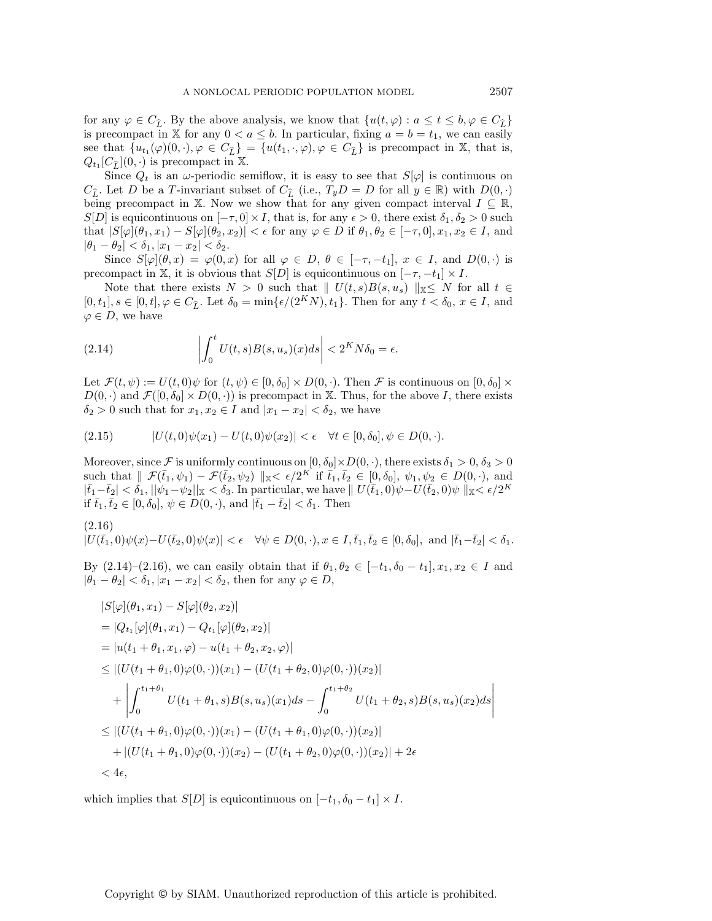for any  $\varphi \in C_{\hat{L}}$ . By the above analysis, we know that  $\{u(t, \varphi) : a \le t \le b, \varphi \in C_{\hat{L}}\}$ <br>is precompact in X for any  $0 < a \le b$ . In particular, fixing  $a - b = t_1$ , we can easily is precompact in X for any  $0 < a \leq b$ . In particular, fixing  $a = b = t_1$ , we can easily see that  $\{u_{t_1}(\varphi)(0, \cdot), \varphi \in C_{\widehat{L}}\} = \{u(t_1, \cdot, \varphi), \varphi \in C_{\widehat{L}}\}$  is precompact in X, that is,  $Q_{t_1}[C_{\widehat{t}}](0,\cdot)$  is precompact in X.

Since  $Q_t$  is an  $\omega$ -periodic semiflow, it is easy to see that  $S[\varphi]$  is continuous on  $C_{\hat{L}}$ . Let D be a T-invariant subset of  $C_{\hat{L}}$  (i.e.,  $T_yD = D$  for all  $y \in \mathbb{R}$ ) with  $D(0, \cdot)$  being precompact in  $\mathbb{X}$ . Now we show that for any given compact interval  $L \subset \mathbb{R}$ being precompact in X. Now we show that for any given compact interval  $I \subseteq \mathbb{R}$ ,  $S[D]$  is equicontinuous on  $[-\tau, 0] \times I$ , that is, for any  $\epsilon > 0$ , there exist  $\delta_1, \delta_2 > 0$  such that  $|S[\varphi](\theta_1, x_1) - S[\varphi](\theta_2, x_2)| < \epsilon$  for any  $\varphi \in D$  if  $\theta_1, \theta_2 \in [-\tau, 0], x_1, x_2 \in I$ , and  $|\theta_1 - \theta_2| < \delta_1, |x_1 - x_2| < \delta_2.$ 

Since  $S[\varphi](\theta, x) = \varphi(0, x)$  for all  $\varphi \in D, \theta \in [-\tau, -t_1], x \in I$ , and  $D(0, \cdot)$  is precompact in X, it is obvious that  $S[D]$  is equicontinuous on  $[-\tau, -t_1] \times I$ .

Note that there exists  $N > 0$  such that  $|| U(t, s)B(s, u_s)||_{\mathbb{X}} \leq N$  for all  $t \in$  $[0, t_1], s \in [0, t], \varphi \in C_{\hat{L}}$ . Let  $\delta_0 = \min{\{\epsilon/(2^KN), t_1\}}$ . Then for any  $t < \delta_0$ ,  $x \in I$ , and  $\varphi \in D$ , we have  $\varphi \in D$ , we have

(2.14) 
$$
\left| \int_0^t U(t,s)B(s,u_s)(x)ds \right| < 2^K N \delta_0 = \epsilon.
$$

Let  $\mathcal{F}(t, \psi) := U(t, 0)\psi$  for  $(t, \psi) \in [0, \delta_0] \times D(0, \cdot)$ . Then  $\mathcal F$  is continuous on  $[0, \delta_0] \times$  $D(0, \cdot)$  and  $\mathcal{F}([0, \delta_0] \times D(0, \cdot))$  is precompact in X. Thus, for the above I, there exists  $\delta_2 > 0$  such that for  $x_1, x_2 \in I$  and  $|x_1 - x_2| < \delta_2$ , we have

$$
(2.15) \t|U(t,0)\psi(x_1) - U(t,0)\psi(x_2)| < \epsilon \quad \forall t \in [0,\delta_0], \psi \in D(0,\cdot).
$$

Moreover, since F is uniformly continuous on  $[0, \delta_0] \times D(0, \cdot)$ , there exists  $\delta_1 > 0$ ,  $\delta_3 > 0$ such that  $\|\mathcal{F}(\bar{t}_1, \psi_1) - \mathcal{F}(\bar{t}_2, \psi_2)\|_{{\mathbb{X}}} \leq \epsilon/2^{K}$  if  $\bar{t}_1, \bar{t}_2 \in [0, \delta_0], \psi_1, \psi_2 \in D(0, \cdot),$  and  $|\bar t_1 - \bar t_2| < \delta_1, \, ||\psi_1 - \psi_2||_{\mathbb X} < \delta_3.$  In particular, we have  $\| U(\bar t_1, 0) \psi - U(\bar t_2, 0) \psi \|_{\mathbb X} < \epsilon/2^K$ if  $\bar{t}_1, \bar{t}_2 \in [0, \delta_0], \psi \in D(0, \cdot), \text{ and } |\bar{t}_1 - \bar{t}_2| < \delta_1. \text{ Then}$ 

(2.16)

$$
|U(\bar{t}_1,0)\psi(x) - U(\bar{t}_2,0)\psi(x)| < \epsilon \quad \forall \psi \in D(0,\cdot), x \in I, \bar{t}_1, \bar{t}_2 \in [0,\delta_0], \text{ and } |\bar{t}_1 - \bar{t}_2| < \delta_1.
$$

By  $(2.14)–(2.16)$ , we can easily obtain that if  $\theta_1, \theta_2 \in [-t_1, \delta_0 - t_1], x_1, x_2 \in I$  and  $|\theta_1 - \theta_2| < \delta_1, |x_1 - x_2| < \delta_2$ , then for any  $\varphi \in D$ ,

$$
|S[\varphi](\theta_1, x_1) - S[\varphi](\theta_2, x_2)|
$$
  
\n
$$
= |Q_{t_1}[\varphi](\theta_1, x_1) - Q_{t_1}[\varphi](\theta_2, x_2)|
$$
  
\n
$$
= |u(t_1 + \theta_1, x_1, \varphi) - u(t_1 + \theta_2, x_2, \varphi)|
$$
  
\n
$$
\leq |(U(t_1 + \theta_1, 0)\varphi(0, \cdot))(x_1) - (U(t_1 + \theta_2, 0)\varphi(0, \cdot))(x_2)|
$$
  
\n
$$
+ \left| \int_0^{t_1 + \theta_1} U(t_1 + \theta_1, s)B(s, u_s)(x_1)ds - \int_0^{t_1 + \theta_2} U(t_1 + \theta_2, s)B(s, u_s)(x_2)ds \right|
$$
  
\n
$$
\leq |(U(t_1 + \theta_1, 0)\varphi(0, \cdot))(x_1) - (U(t_1 + \theta_1, 0)\varphi(0, \cdot))(x_2)|
$$
  
\n
$$
+ |(U(t_1 + \theta_1, 0)\varphi(0, \cdot))(x_2) - (U(t_1 + \theta_2, 0)\varphi(0, \cdot))(x_2)| + 2\epsilon
$$
  
\n
$$
< 4\epsilon,
$$

which implies that  $S[D]$  is equicontinuous on  $[-t_1, \delta_0 - t_1] \times I$ .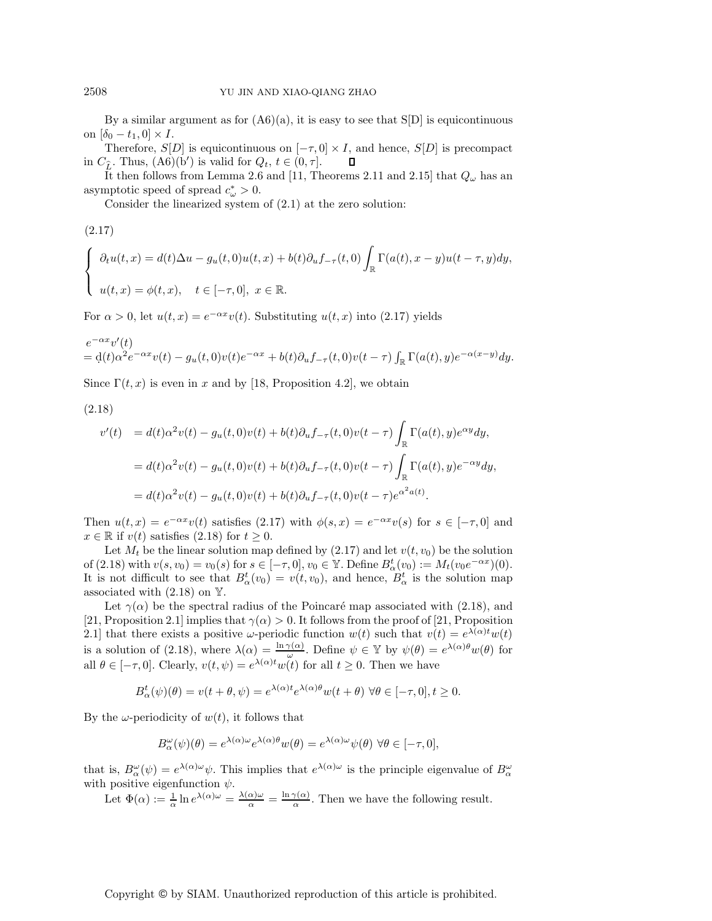By a similar argument as for  $(A6)(a)$ , it is easy to see that  $S[D]$  is equicontinuous on  $[\delta_0 - t_1, 0] \times I$ .

Therefore,  $S[D]$  is equicontinuous on  $[-\tau, 0] \times I$ , and hence,  $S[D]$  is precompact in  $C_{\hat{L}}$ . Thus,  $(A6)(b')$  is valid for  $Q_t$ ,  $t \in (0, \tau]$ .<br>It then follows from Lemma 2.6 and [11.]  $\Box$ 

It then follows from Lemma 2.6 and [11, Theorems 2.11 and 2.15] that  $Q_{\omega}$  has an asymptotic speed of spread  $c^*_{\omega} > 0$ .<br>Consider the linearized system

Consider the linearized system of (2.1) at the zero solution:

(2.17)

$$
\begin{cases} \partial_t u(t,x) = d(t)\Delta u - g_u(t,0)u(t,x) + b(t)\partial_u f_{-\tau}(t,0) \int_{\mathbb{R}} \Gamma(a(t),x-y)u(t-\tau,y)dy, \\ u(t,x) = \phi(t,x), \quad t \in [-\tau,0], \ x \in \mathbb{R}. \end{cases}
$$

For  $\alpha > 0$ , let  $u(t, x) = e^{-\alpha x}v(t)$ . Substituting  $u(t, x)$  into (2.17) yields

$$
e^{-\alpha x}v'(t) = d(t)\alpha^2 e^{-\alpha x}v(t) - g_u(t,0)v(t)e^{-\alpha x} + b(t)\partial_u f_{-\tau}(t,0)v(t-\tau)\int_{\mathbb{R}} \Gamma(a(t),y)e^{-\alpha(x-y)}dy.
$$

Since  $\Gamma(t, x)$  is even in x and by [18, Proposition 4.2], we obtain

(2.18)

$$
v'(t) = d(t)\alpha^2 v(t) - g_u(t,0)v(t) + b(t)\partial_u f_{-\tau}(t,0)v(t-\tau) \int_{\mathbb{R}} \Gamma(a(t),y)e^{\alpha y}dy,
$$
  

$$
= d(t)\alpha^2 v(t) - g_u(t,0)v(t) + b(t)\partial_u f_{-\tau}(t,0)v(t-\tau) \int_{\mathbb{R}} \Gamma(a(t),y)e^{-\alpha y}dy,
$$
  

$$
= d(t)\alpha^2 v(t) - g_u(t,0)v(t) + b(t)\partial_u f_{-\tau}(t,0)v(t-\tau)e^{\alpha^2 a(t)}.
$$

Then  $u(t, x) = e^{-\alpha x}v(t)$  satisfies (2.17) with  $\phi(s, x) = e^{-\alpha x}v(s)$  for  $s \in [-\tau, 0]$  and  $x \in \mathbb{R}$  if  $v(t)$  satisfies (2.18) for  $t \geq 0$ .

Let  $M_t$  be the linear solution map defined by (2.17) and let  $v(t, v_0)$  be the solution of (2.18) with  $v(s, v_0) = v_0(s)$  for  $s \in [-\tau, 0], v_0 \in \mathbb{Y}$ . Define  $B^t_{\alpha}(v_0) := M_t(v_0e^{-\alpha x})(0)$ .<br>It is not difficult to see that  $B^t(v_0) = v(t, v_0)$  and hance  $B^t$  is the solution man-It is not difficult to see that  $B^t_\alpha(v_0) = v(t, v_0)$ , and hence,  $B^t_\alpha$  is the solution map<br>associated with (2.18) on  $\mathbb{V}$ associated with  $(2.18)$  on Y.

Let  $\gamma(\alpha)$  be the spectral radius of the Poincaré map associated with (2.18), and [21, Proposition 2.1] implies that  $\gamma(\alpha) > 0$ . It follows from the proof of [21, Proposition 2.1] that there exists a positive  $\omega$ -periodic function  $w(t)$  such that  $v(t) = e^{\lambda(\alpha)t}w(t)$ is a solution of (2.18), where  $\lambda(\alpha) = \frac{\ln \gamma(\alpha)}{\omega}$ . Define  $\psi \in \mathbb{Y}$  by  $\psi(\theta) = e^{\lambda(\alpha)\theta}w(\theta)$  for all  $\theta \in [-\tau, 0]$ . Clearly,  $v(t, \psi) = e^{\lambda(\alpha)t}w(t)$  for all  $t \ge 0$ . Then we have

$$
B^t_\alpha(\psi)(\theta) = v(t + \theta, \psi) = e^{\lambda(\alpha)t} e^{\lambda(\alpha)\theta} w(t + \theta) \,\forall \theta \in [-\tau, 0], t \ge 0.
$$

By the  $\omega$ -periodicity of  $w(t)$ , it follows that

$$
B_{\alpha}^{\omega}(\psi)(\theta) = e^{\lambda(\alpha)\omega} e^{\lambda(\alpha)\theta} w(\theta) = e^{\lambda(\alpha)\omega} \psi(\theta) \,\forall \theta \in [-\tau, 0],
$$

that is,  $B_{\alpha}^{\omega}(\psi) = e^{\lambda(\alpha)\omega}\psi$ . This implies that  $e^{\lambda(\alpha)\omega}$  is the principle eigenvalue of  $B_{\alpha}^{\omega}$ with positive eigenfunction  $\psi$ .

Let  $\Phi(\alpha) := \frac{1}{\alpha} \ln e^{\lambda(\alpha)\omega} = \frac{\lambda(\alpha)\omega}{\alpha} = \frac{\ln \gamma(\alpha)}{\alpha}$ . Then we have the following result.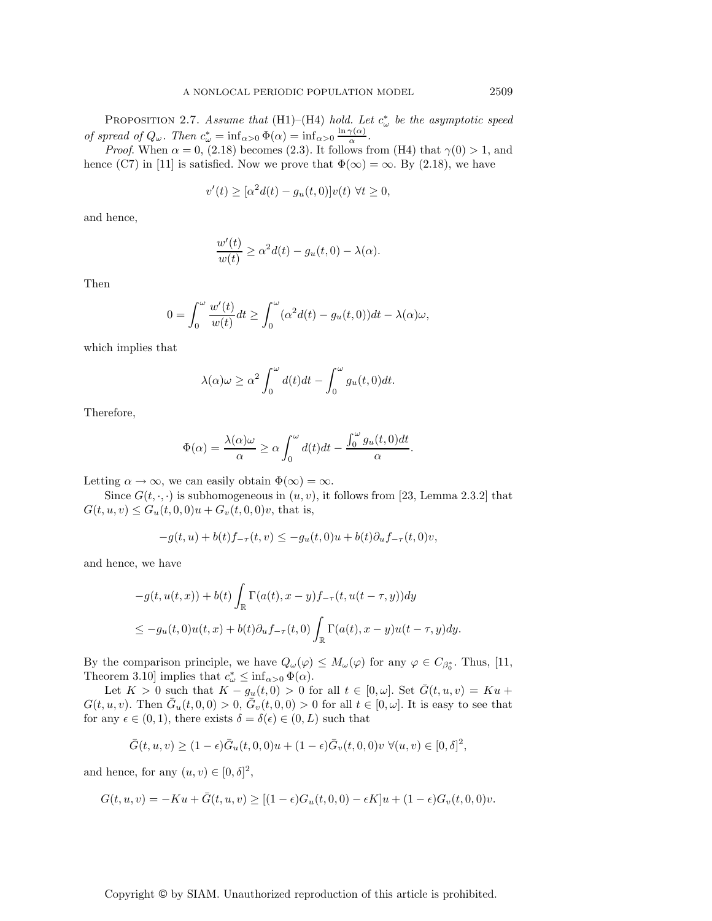PROPOSITION 2.7. *Assume that* (H1)–(H4) *hold. Let*  $c^*_{\omega}$  *be the asymptotic speed of spread of*  $Q_{\omega}$ . Then  $c_{\omega}^* = \inf_{\alpha > 0} \Phi(\alpha) = \inf_{\alpha > 0} \frac{\ln \gamma(\alpha)}{\alpha}$ .<br>Proof When  $\alpha = 0$  (2.18) becomes (2.3) It follows for

*Proof.* When  $\alpha = 0$ , (2.18) becomes (2.3). It follows from (H4) that  $\gamma(0) > 1$ , and hence (C7) in [11] is satisfied. Now we prove that  $\Phi(\infty) = \infty$ . By (2.18), we have

$$
v'(t) \geq [\alpha^2 d(t) - g_u(t, 0)]v(t) \,\,\forall t \geq 0,
$$

and hence,

$$
\frac{w'(t)}{w(t)} \ge \alpha^2 d(t) - g_u(t,0) - \lambda(\alpha).
$$

Then

$$
0 = \int_0^{\omega} \frac{w'(t)}{w(t)} dt \ge \int_0^{\omega} (\alpha^2 d(t) - g_u(t, 0)) dt - \lambda(\alpha)\omega,
$$

which implies that

$$
\lambda(\alpha)\omega \geq \alpha^2 \int_0^{\omega} d(t)dt - \int_0^{\omega} g_u(t,0)dt.
$$

Therefore,

$$
\Phi(\alpha) = \frac{\lambda(\alpha)\omega}{\alpha} \ge \alpha \int_0^{\omega} d(t)dt - \frac{\int_0^{\omega} g_u(t,0)dt}{\alpha}.
$$

Letting  $\alpha \to \infty$ , we can easily obtain  $\Phi(\infty) = \infty$ .

Since  $G(t, \cdot, \cdot)$  is subhomogeneous in  $(u, v)$ , it follows from [23, Lemma 2.3.2] that  $G(t, u, v) \leq G_u(t, 0, 0)u + G_v(t, 0, 0)v$ , that is,

$$
-g(t, u) + b(t)f_{-\tau}(t, v) \le -g_u(t, 0)u + b(t)\partial_u f_{-\tau}(t, 0)v,
$$

and hence, we have

$$
-g(t, u(t, x)) + b(t) \int_{\mathbb{R}} \Gamma(a(t), x - y) f_{-\tau}(t, u(t - \tau, y)) dy
$$
  

$$
\leq -g_u(t, 0)u(t, x) + b(t) \partial_u f_{-\tau}(t, 0) \int_{\mathbb{R}} \Gamma(a(t), x - y)u(t - \tau, y) dy.
$$

By the comparison principle, we have  $Q_{\omega}(\varphi) \leq M_{\omega}(\varphi)$  for any  $\varphi \in C_{\beta_0^*}$ . Thus, [11, Theorem 2.10] implies that  $e^* \leq \inf_{\phi \in \beta_0} \phi(\phi)$ Theorem 3.10] implies that  $c^*_{\omega} \leq \inf_{\alpha > 0} \Phi(\alpha)$ .<br>
Let  $K > 0$  such that  $K = a + 0 > 0$  for

Let  $K > 0$  such that  $K - g_u(t, 0) > 0$  for all  $t \in [0, \omega]$ . Set  $\overline{G}(t, u, v) = Ku +$  $G(t, u, v)$ . Then  $\bar{G}_u(t, 0, 0) > 0$ ,  $\bar{G}_v(t, 0, 0) > 0$  for all  $t \in [0, \omega]$ . It is easy to see that for any  $\epsilon \in (0,1)$ , there exists  $\delta = \delta(\epsilon) \in (0,L)$  such that

$$
\bar{G}(t, u, v) \ge (1 - \epsilon)\bar{G}_u(t, 0, 0)u + (1 - \epsilon)\bar{G}_v(t, 0, 0)v \ \forall (u, v) \in [0, \delta]^2,
$$

and hence, for any  $(u, v) \in [0, \delta]^2$ ,

$$
G(t, u, v) = -Ku + \bar{G}(t, u, v) \ge [(1 - \epsilon)G_u(t, 0, 0) - \epsilon K]u + (1 - \epsilon)G_v(t, 0, 0)v.
$$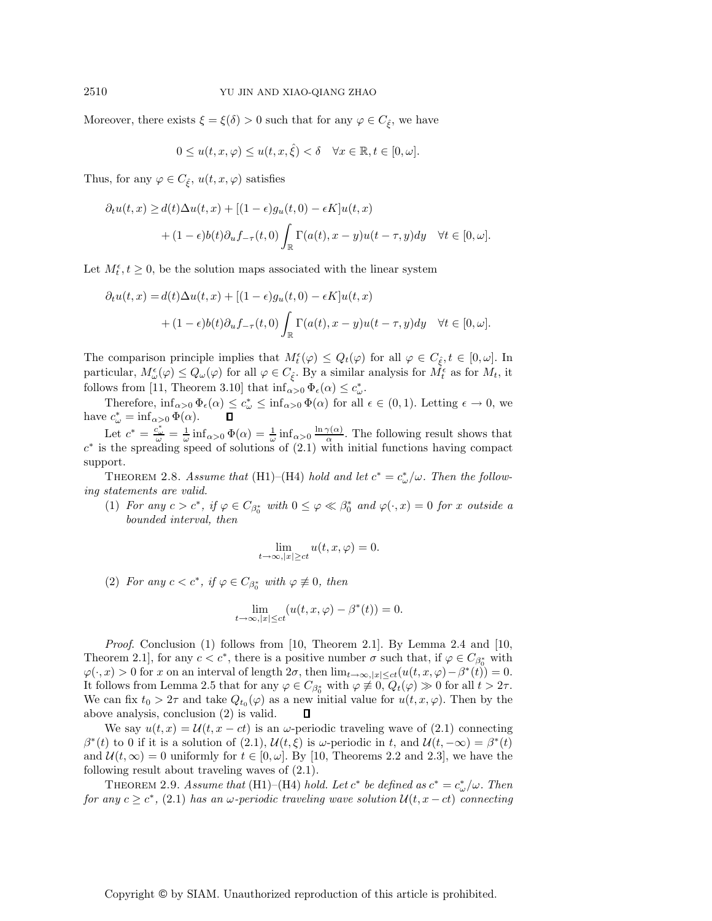Moreover, there exists  $\xi = \xi(\delta) > 0$  such that for any  $\varphi \in C_{\hat{\xi}}$ , we have

$$
0 \le u(t, x, \varphi) \le u(t, x, \hat{\xi}) < \delta \quad \forall x \in \mathbb{R}, t \in [0, \omega].
$$

ξ

Thus, for any  $\varphi \in C_{\hat{\xi}}, u(t, x, \varphi)$  satisfies ξ

$$
\partial_t u(t, x) \ge d(t) \Delta u(t, x) + [(1 - \epsilon)g_u(t, 0) - \epsilon K]u(t, x) + (1 - \epsilon)b(t)\partial_u f_{-\tau}(t, 0) \int_{\mathbb{R}} \Gamma(a(t), x - y)u(t - \tau, y) dy \quad \forall t \in [0, \omega].
$$

Let  $M_t^{\epsilon}$ ,  $t \geq 0$ , be the solution maps associated with the linear system

$$
\partial_t u(t, x) = d(t)\Delta u(t, x) + [(1 - \epsilon)g_u(t, 0) - \epsilon K]u(t, x)
$$

$$
+ (1 - \epsilon)b(t)\partial_u f_{-\tau}(t, 0) \int_{\mathbb{R}} \Gamma(a(t), x - y)u(t - \tau, y) dy \quad \forall t \in [0, \omega].
$$

The comparison principle implies that  $M_t^{\epsilon}(\varphi) \leq Q_t(\varphi)$  for all  $\varphi \in C_{\xi}, t \in [0, \omega]$ . In particular,  $M_{\epsilon}^{\epsilon}(\varphi) \leq Q_t(\varphi)$  for all  $\varphi \in C$ . By a similar applying for  $M_{\epsilon}^{\epsilon}$  as for M, it particular,  $M^{\epsilon}_{\omega}(\varphi) \leq Q_{\omega}(\varphi)$  for all  $\varphi \in C_{\hat{\xi}}$ . By a similar analysis for  $M^{\epsilon}_{t}$  as for  $M_{t}$ , it follows from [11]. Theorem 3.10] that inf follows from [11, Theorem 3.10] that  $\inf_{\alpha>0} \Phi_{\epsilon}(\alpha) \leq c_{\omega}^*$ .<br>Theorem is  $\Phi(\alpha) \leq c_*^*$  is  $\Phi(\alpha)$  for all

Therefore,  $\inf_{\alpha>0} \Phi_{\epsilon}(\alpha) \leq c^*_{\omega} \leq \inf_{\alpha>0} \Phi(\alpha)$  for all  $\epsilon \in (0,1)$ . Letting  $\epsilon \to 0$ , we have  $c^*_{\omega} = \inf_{\alpha > 0} \Phi(\alpha)$ .

Let  $c^* = \frac{c_{\omega}^*}{\omega} = \frac{1}{\omega} \inf_{\alpha > 0} \Phi(\alpha) = \frac{1}{\omega} \inf_{\alpha > 0} \frac{\ln \gamma(\alpha)}{\alpha}$ . The following result shows that  $c^*$  is the spreading speed of solutions of (2.1) with initial functions having compact support.

THEOREM 2.8. *Assume that* (H1)–(H4) *hold and let*  $c^* = c^*_{\omega}/\omega$ . Then the follow*ing statements are valid.*

(1) *For any*  $c > c^*$ *, if*  $\varphi \in C_{\beta_0^*}$  with  $0 \leq \varphi \ll \beta_0^*$  *and*  $\varphi(\cdot, x) = 0$  *for* x *outside a bounded interval, then*

$$
\lim_{t \to \infty, |x| \ge ct} u(t, x, \varphi) = 0.
$$

(2) For any  $c < c^*$ , if  $\varphi \in C_{\beta_0^*}$  with  $\varphi \not\equiv 0$ , then

$$
\lim_{t \to \infty, |x| \le ct} (u(t, x, \varphi) - \beta^*(t)) = 0.
$$

*Proof*. Conclusion (1) follows from [10, Theorem 2.1]. By Lemma 2.4 and [10, Theorem 2.1], for any  $c < c^*$ , there is a positive number  $\sigma$  such that, if  $\varphi \in C_{\beta_0^*}$  with  $\varphi(\cdot, x) > 0$  for x on an interval of length  $2\sigma$ , then  $\lim_{t\to\infty, |x|\leq ct} (u(t, x, \varphi) - \beta^*(t)) = 0$ . It follows from Lemma 2.5 that for any  $\varphi \in C_{\beta_0^*}$  with  $\varphi \neq 0$ ,  $Q_t(\varphi) \gg 0$  for all  $t > 2\tau$ . We can fix  $t_0 > 2\tau$  and take  $Q_{t_0}(\varphi)$  as a new initial value for  $u(t, x, \varphi)$ . Then by the above analysis, conclusion (2) is valid.  $\square$ above analysis, conclusion (2) is valid.

We say  $u(t, x) = \mathcal{U}(t, x - ct)$  is an  $\omega$ -periodic traveling wave of (2.1) connecting  $\beta^*(t)$  to 0 if it is a solution of  $(2.1)$ ,  $\mathcal{U}(t,\xi)$  is  $\omega$ -periodic in t, and  $\mathcal{U}(t,-\infty) = \beta^*(t)$ and  $\mathcal{U}(t,\infty) = 0$  uniformly for  $t \in [0,\omega]$ . By [10, Theorems 2.2 and 2.3], we have the following result about traveling waves of (2.1).

THEOREM 2.9. *Assume that* (H1)–(H4) *hold. Let*  $c^*$  *be defined as*  $c^* = c^*_{\omega}/\omega$ *. Then*<br> $\omega \geq c^*$  (2.1) host an  $\omega$  periodic traveling wave solution  $\mathcal{U}(t, x - ct)$  connecting *for any*  $c \geq c^*$ , (2.1) *has an*  $\omega$ -periodic traveling wave solution  $\mathcal{U}(t, x - ct)$  connecting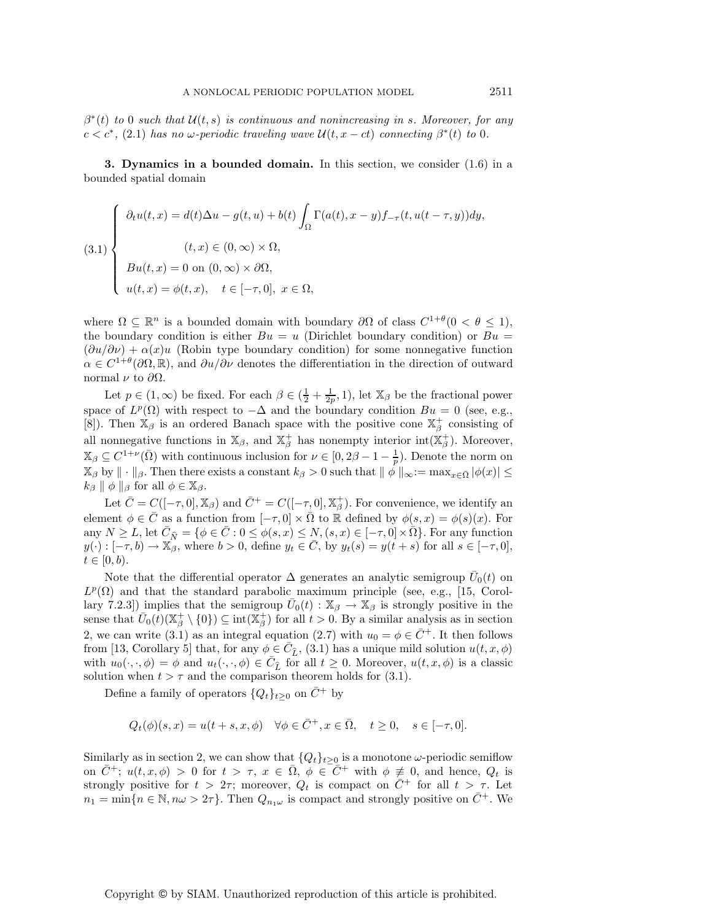$\beta^*(t)$  *to* 0 *such that*  $\mathcal{U}(t, s)$  *is continuous and nonincreasing in s. Moreover, for any*  $c < c^*$ , (2.1) has no  $\omega$ -periodic traveling wave  $\mathcal{U}(t, x - ct)$  connecting  $\beta^*(t)$  to 0.

**3. Dynamics in a bounded domain.** In this section, we consider (1.6) in a bounded spatial domain

(3.1)  
\n
$$
\begin{cases}\n\partial_t u(t,x) = d(t)\Delta u - g(t,u) + b(t) \int_{\Omega} \Gamma(a(t), x - y) f_{-\tau}(t, u(t - \tau, y)) dy, \\
(t, x) \in (0, \infty) \times \Omega, \\
B u(t, x) = 0 \text{ on } (0, \infty) \times \partial\Omega, \\
u(t, x) = \phi(t, x), \quad t \in [-\tau, 0], \ x \in \Omega,\n\end{cases}
$$

where  $\Omega \subseteq \mathbb{R}^n$  is a bounded domain with boundary  $\partial\Omega$  of class  $C^{1+\theta}(0 < \theta \leq 1)$ , the boundary condition is either  $Bu = u$  (Dirichlet boundary condition) or  $Bu =$  $(\partial u/\partial \nu) + \alpha(x)u$  (Robin type boundary condition) for some nonnegative function  $\alpha \in C^{1+\theta}(\partial\Omega,\mathbb{R})$ , and  $\partial u/\partial \nu$  denotes the differentiation in the direction of outward normal  $ν$  to  $\partial Ω$ .

Let  $p \in (1, \infty)$  be fixed. For each  $\beta \in (\frac{1}{2} + \frac{1}{2p}, 1)$ , let  $\mathbb{X}_{\beta}$  be the fractional power space of  $L^p(\Omega)$  with respect to  $-\Delta$  and the boundary condition  $Bu = 0$  (see, e.g., [8]). Then  $\mathbb{X}_{\beta}$  is an ordered Banach space with the positive cone  $\mathbb{X}_{\beta}^{+}$  consisting of all nonnegative functions in  $\mathbb{X}_{\beta}$ , and  $\mathbb{X}_{\beta}^{+}$  has nonempty interior int $(\mathbb{X}_{\beta}^{+})$ . Moreover,  $\mathbb{X}_{\beta} \subseteq C^{1+\nu}(\bar{\Omega})$  with continuous inclusion for  $\nu \in [0, 2\beta - 1 - \frac{1}{p})$ . Denote the norm on  $\mathbb{X}_{\alpha}$ ,  $\mathbb{X}_{\alpha}$ , with  $\mathbb{X}_{\alpha}$  is the norm on  $\mathbb{X}_{\alpha}$ ,  $\mathbb{X}_{\alpha}$  is the norm on  $\mathbb{X}_{\alpha}$ ,  $\mathbb{X}_{\alpha}$  $\mathbb{X}_{\beta}$  by  $\|\cdot\|_{\beta}$ . Then there exists a constant  $k_{\beta} > 0$  such that  $\|\phi\|_{\infty} := \max_{x \in \bar{\Omega}} |\phi(x)| \leq k_{\beta} \|\phi\|_{\infty}$  $k_{\beta} \parallel \phi \parallel_{\beta}$  for all  $\phi \in \mathbb{X}_{\beta}$ .

Let  $\bar{C} = C([-\tau, 0], \mathbb{X}_{\beta})$  and  $\bar{C}^{+} = C([-\tau, 0], \mathbb{X}_{\beta}^{+})$ . For convenience, we identify an element  $\phi \in \bar{C}$  as a function from  $[-\tau, 0] \times \bar{\Omega}$  to  $\mathbb R$  defined by  $\phi(s, x) = \phi(s)(x)$ . For any  $N \geq L$ , let  $\overline{C}_{\widehat{N}} = \{ \phi \in \overline{C} : 0 \leq \phi(s, x) \leq N, (s, x) \in [-\tau, 0] \times \overline{\Omega} \}$ . For any function  $u(\cdot) : [-\tau, b] \to \mathbb{X}_s$  where  $b > 0$  define  $u \in \overline{C}$  by  $u(s) = u(t+s)$  for all  $s \in [-\tau, 0]$  $y(\cdot):[-\tau, b) \to \mathbb{X}_{\beta}$ , where  $b > 0$ , define  $y_t \in \overline{C}$ , by  $y_t(s) = y(t+s)$  for all  $s \in [-\tau, 0]$ ,  $t \in [0, b).$ 

Note that the differential operator  $\Delta$  generates an analytic semigroup  $\bar{U}_0(t)$  on  $L^p(\Omega)$  and that the standard parabolic maximum principle (see, e.g., [15, Corollary 7.2.3]) implies that the semigroup  $\bar{U}_0(t) : \mathbb{X}_{\beta} \to \mathbb{X}_{\beta}$  is strongly positive in the sense that  $\overline{U}_0(t)(\mathbb{X}_{\beta}^+\setminus\{0\}) \subseteq \text{int}(\mathbb{X}_{\beta}^+)$  for all  $t > 0$ . By a similar analysis as in section  $2$ , we can write  $(2,1)$  as an integral equation  $(2,7)$  with  $\cdots$   $\neq \overline{C}$ . It then follows 2, we can write (3.1) as an integral equation (2.7) with  $u_0 = \phi \in \overline{C}^+$ . It then follows from [13, Corollary 5] that, for any  $\phi \in \overline{C}_{\widehat{L}}$ , (3.1) has a unique mild solution  $u(t, x, \phi)$ <br>with  $u_0(\cdot, \phi) = \phi$  and  $u_1(\cdot, \phi) \in \overline{C}_{\widehat{L}}$  for all  $t > 0$ . Moreover,  $u(t, x, \phi)$  is a classic with  $u_0(\cdot, \cdot, \phi) = \phi$  and  $u_t(\cdot, \cdot, \phi) \in \overline{C}_{\widehat{L}}$  for all  $t \ge 0$ . Moreover,  $u(t, x, \phi)$  is a classic solution when  $t > \tau$  and the comparison theorem holds for (3.1) solution when  $t > \tau$  and the comparison theorem holds for (3.1).

Define a family of operators  $\{Q_t\}_{t>0}$  on  $\overline{C}$ <sup>+</sup> by

$$
Q_t(\phi)(s,x) = u(t+s,x,\phi) \quad \forall \phi \in \overline{C}^+, x \in \overline{\Omega}, \quad t \ge 0, \quad s \in [-\tau,0].
$$

Similarly as in section 2, we can show that  ${Q_t}_{t\geq0}$  is a monotone  $\omega$ -periodic semiflow on  $\bar{C}^+$ ;  $u(t, x, \phi) > 0$  for  $t > \tau$ ,  $x \in \bar{\Omega}$ ,  $\phi \in \bar{C}^+$  with  $\phi \neq 0$ , and hence,  $Q_t$  is strongly positive for  $t > 2\tau$ ; moreover,  $Q_t$  is compact on  $\overline{C}$ <sup>+</sup> for all  $t > \tau$ . Let  $n_1 = \min\{n \in \mathbb{N}, n\omega > 2\tau\}.$  Then  $Q_{n_1\omega}$  is compact and strongly positive on  $\overline{C}^+$ . We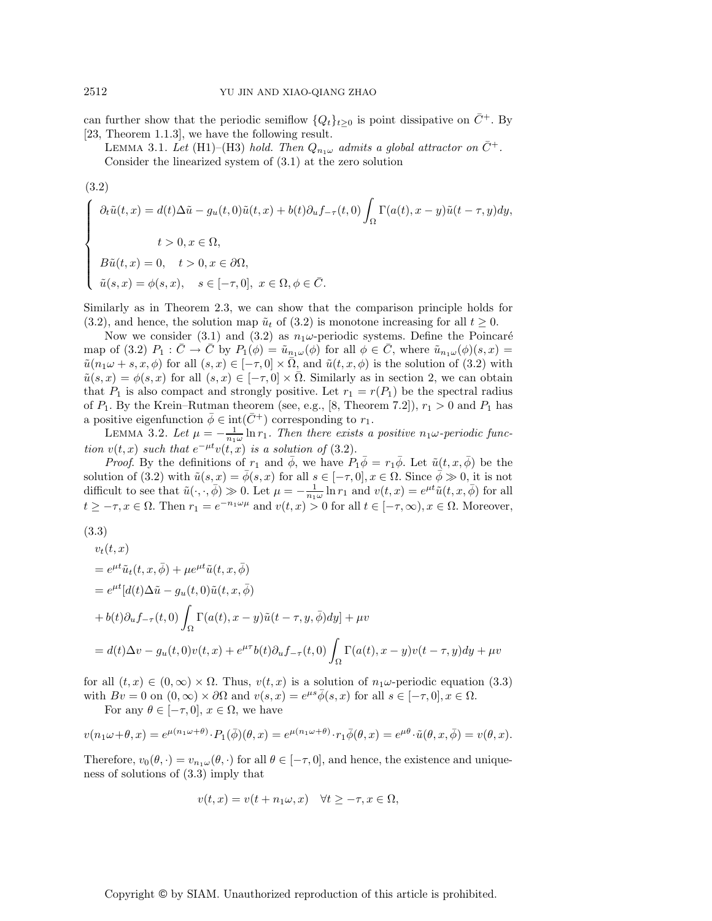can further show that the periodic semiflow  ${Q_t}_{t\geq0}$  is point dissipative on  $\bar{C}^+$ . By [23, Theorem 1.1.3], we have the following result.

LEMMA 3.1. Let (H1)–(H3) hold. Then  $Q_{n_1\omega}$  admits a global attractor on  $\bar{C}^+$ .

Consider the linearized system of (3.1) at the zero solution

(3.2)  
\n
$$
\begin{cases}\n\partial_t \tilde{u}(t,x) = d(t)\Delta \tilde{u} - g_u(t,0)\tilde{u}(t,x) + b(t)\partial_u f_{-\tau}(t,0) \int_{\Omega} \Gamma(a(t), x - y)\tilde{u}(t - \tau, y) dy, \\
t > 0, x \in \Omega, \\
B\tilde{u}(t,x) = 0, \quad t > 0, x \in \partial\Omega, \\
\tilde{u}(s,x) = \phi(s,x), \quad s \in [-\tau,0], \ x \in \Omega, \phi \in \overline{C}.\n\end{cases}
$$

Similarly as in Theorem 2.3, we can show that the comparison principle holds for (3.2), and hence, the solution map  $\tilde{u}_t$  of (3.2) is monotone increasing for all  $t \geq 0$ .

Now we consider (3.1) and (3.2) as  $n_1\omega$ -periodic systems. Define the Poincaré map of (3.2)  $P_1: C \to C$  by  $P_1(\phi) = \tilde{u}_{n_1\omega}(\phi)$  for all  $\phi \in C$ , where  $\tilde{u}_{n_1\omega}(\phi)(s, x) =$  $\tilde{u}(n_1\omega + s, x, \phi)$  for all  $(s, x) \in [-\tau, 0] \times \overline{\Omega}$ , and  $\tilde{u}(t, x, \phi)$  is the solution of  $(3.2)$  with  $\tilde{u}(s,x) = \phi(s,x)$  for all  $(s,x) \in [-\tau,0] \times \overline{\Omega}$ . Similarly as in section 2, we can obtain that  $P_1$  is also compact and strongly positive. Let  $r_1 = r(P_1)$  be the spectral radius of  $P_1$ . By the Krein–Rutman theorem (see, e.g., [8, Theorem 7.2]),  $r_1 > 0$  and  $P_1$  has a positive eigenfunction  $\bar{\phi} \in \text{int}(\bar{C}^+)$  corresponding to  $r_1$ .

LEMMA 3.2. Let  $\mu = -\frac{1}{n_1\omega} \ln r_1$ . Then there exists a positive  $n_1\omega$ -periodic func-<br>  $n(t,x)$  except that  $c^{-\mu t} n(t,x)$  is a solution of (3.9) *tion*  $v(t, x)$  *such that*  $e^{-\mu t}v(t, x)$  *is a solution of* (3.2).

*Proof.* By the definitions of  $r_1$  and  $\bar{\phi}$ , we have  $P_1\bar{\phi} = r_1\bar{\phi}$ . Let  $\tilde{u}(t, x, \bar{\phi})$  be the solution of (3.2) with  $\tilde{u}(s, x) = \bar{\phi}(s, x)$  for all  $s \in [-\tau, 0], x \in \Omega$ . Since  $\bar{\phi} \gg 0$ , it is not difficult to see that  $\tilde{u}(\cdot, \cdot, \overline{\phi}) \gg 0$ . Let  $\mu = -\frac{1}{n_1\omega} \ln r_1$  and  $v(t, x) = e^{\mu t} \tilde{u}(t, x, \overline{\phi})$  for all  $t > \pi x \in \Omega$ . Then  $x = e^{-n_1\omega\mu}$  and  $v(t, x) > 0$  for all  $t \in [-\pi, \infty)$ ,  $x \in \Omega$ . Moreover,  $t \geq -\tau, x \in \Omega$ . Then  $r_1 = e^{-n_1\omega\mu}$  and  $v(t, x) > 0$  for all  $t \in [-\tau, \infty), x \in \Omega$ . Moreover,

(3.3)

$$
v_t(t, x)
$$
  
=  $e^{\mu t}\tilde{u}_t(t, x, \bar{\phi}) + \mu e^{\mu t}\tilde{u}(t, x, \bar{\phi})$   
=  $e^{\mu t}[d(t)\Delta \tilde{u} - g_u(t, 0)\tilde{u}(t, x, \bar{\phi})$   
+  $b(t)\partial_u f_{-\tau}(t, 0) \int_{\Omega} \Gamma(a(t), x - y)\tilde{u}(t - \tau, y, \bar{\phi})dy] + \mu v$   
=  $d(t)\Delta v - g_u(t, 0)v(t, x) + e^{\mu \tau}b(t)\partial_u f_{-\tau}(t, 0) \int_{\Omega} \Gamma(a(t), x - y)v(t - \tau, y)dy + \mu v$ 

for all  $(t, x) \in (0, \infty) \times \Omega$ . Thus,  $v(t, x)$  is a solution of  $n_1\omega$ -periodic equation (3.3) with  $Bv = 0$  on  $(0, \infty) \times \partial\Omega$  and  $v(s, x) = e^{\mu s} \overline{\phi}(s, x)$  for all  $s \in [-\tau, 0], x \in \Omega$ . For any  $\theta \in [-\tau, 0], x \in \Omega$ , we have

$$
v(n_1\omega+\theta,x) = e^{\mu(n_1\omega+\theta)} \cdot P_1(\bar{\phi})(\theta,x) = e^{\mu(n_1\omega+\theta)} \cdot r_1\bar{\phi}(\theta,x) = e^{\mu\theta} \cdot \tilde{u}(\theta,x,\bar{\phi}) = v(\theta,x).
$$

Therefore,  $v_0(\theta, \cdot) = v_{n_1\omega}(\theta, \cdot)$  for all  $\theta \in [-\tau, 0]$ , and hence, the existence and uniqueness of solutions of (3.3) imply that

$$
v(t,x) = v(t + n_1\omega, x) \quad \forall t \ge -\tau, x \in \Omega,
$$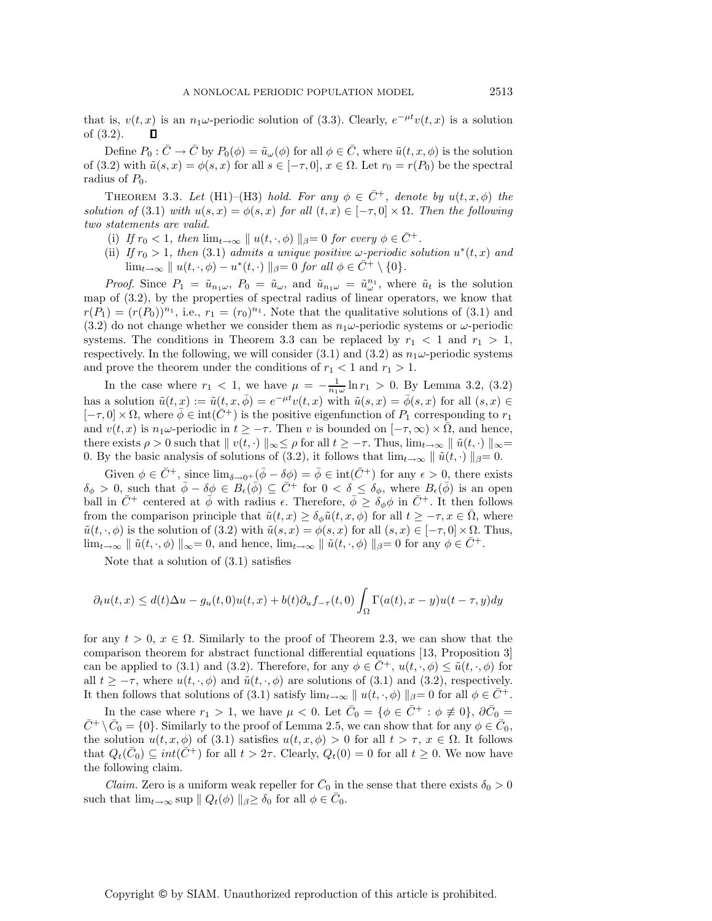that is,  $v(t, x)$  is an  $n_1\omega$ -periodic solution of (3.3). Clearly,  $e^{-\mu t}v(t, x)$  is a solution of (3.2).  $\Box$ 

Define  $P_0: \bar{C} \to \bar{C}$  by  $P_0(\phi) = \tilde{u}_\omega(\phi)$  for all  $\phi \in \bar{C}$ , where  $\tilde{u}(t, x, \phi)$  is the solution of (3.2) with  $\tilde{u}(s, x) = \phi(s, x)$  for all  $s \in [-\tau, 0], x \in \Omega$ . Let  $r_0 = r(P_0)$  be the spectral radius of  $P_0$ .

THEOREM 3.3. Let (H1)–(H3) *hold. For any*  $\phi \in \overline{C}^+$ , denote by  $u(t, x, \phi)$  the *solution of* (3.1) *with*  $u(s, x) = \phi(s, x)$  *for all*  $(t, x) \in [-\tau, 0] \times \Omega$ *. Then the following two statements are valid.*

- (i) If  $r_0 < 1$ , then  $\lim_{t \to \infty} || u(t, \cdot, \phi) ||_{\beta} = 0$  for every  $\phi \in \overline{C}^+$ .
- (ii) *If*  $r_0 > 1$ *, then* (3.1) *admits a unique positive*  $\omega$ -periodic solution  $u^*(t, x)$  and  $\lim_{t\to\infty}$   $\|u(t,\cdot,\phi)-u^*(t,\cdot)\|_{\beta}=0$  *for all*  $\phi \in \overline{C}^+\setminus\{0\}.$

*Proof.* Since  $P_1 = \tilde{u}_{n_1\omega}$ ,  $P_0 = \tilde{u}_{\omega}$ , and  $\tilde{u}_{n_1\omega} = \tilde{u}_{\omega}^{n_1}$ , where  $\tilde{u}_t$  is the solution of (3.2), by the proportion of spectral radius of linear operators, we know that map of (3.2), by the properties of spectral radius of linear operators, we know that  $r(P_1)=(r(P_0))^{n_1}$ , i.e.,  $r_1=(r_0)^{n_1}$ . Note that the qualitative solutions of (3.1) and (3.2) do not change whether we consider them as  $n_1\omega$ -periodic systems or  $\omega$ -periodic systems. The conditions in Theorem 3.3 can be replaced by  $r_1 < 1$  and  $r_1 > 1$ , respectively. In the following, we will consider (3.1) and (3.2) as  $n_1\omega$ -periodic systems and prove the theorem under the conditions of  $r_1 < 1$  and  $r_1 > 1$ .

In the case where  $r_1 < 1$ , we have  $\mu = -\frac{1}{n_1\omega} \ln r_1 > 0$ . By Lemma 3.2, (3.2) has a solution  $\tilde{u}(t, x) := \tilde{u}(t, x, \bar{\phi}) = e^{-\mu t}v(t, x)$  with  $\tilde{u}(s, x) = \bar{\phi}(s, x)$  for all  $(s, x) \in$  $[-\tau, 0] \times \Omega$ , where  $\bar{\phi} \in \text{int}(\bar{C}^+)$  is the positive eigenfunction of  $P_1$  corresponding to  $r_1$ and  $v(t, x)$  is  $n_1\omega$ -periodic in  $t \geq -\tau$ . Then v is bounded on  $[-\tau, \infty) \times \overline{\Omega}$ , and hence, there exists  $\rho > 0$  such that  $|| v(t, \cdot)||_{\infty} \leq \rho$  for all  $t \geq -\tau$ . Thus,  $\lim_{t \to \infty} || \tilde{u}(t, \cdot)||_{\infty} =$ 0. By the basic analysis of solutions of (3.2), it follows that  $\lim_{t\to\infty} || \tilde{u}(t, \cdot) ||_{\beta} = 0$ .

Given  $\phi \in \bar{C}^+$ , since  $\lim_{\delta \to 0^+} (\bar{\phi} - \delta \phi) = \bar{\phi} \in \text{int}(\bar{C}^+)$  for any  $\epsilon > 0$ , there exists  $\delta_{\phi} > 0$ , such that  $\bar{\phi} - \delta \phi \in B_{\epsilon}(\bar{\phi}) \subseteq \bar{C}^+$  for  $0 < \delta \leq \delta_{\phi}$ , where  $B_{\epsilon}(\bar{\phi})$  is an open<br>ball in  $\bar{C}^+$  centered at  $\bar{\phi}$  with nedius a Therefore  $\bar{\phi} \leq \delta_{\phi}$ , where  $\bar{C}^+$  It then follows ball in  $\bar{C}^+$  centered at  $\bar{\phi}$  with radius  $\epsilon$ . Therefore,  $\bar{\phi} \geq \delta_{\phi} \phi$  in  $\bar{C}^+$ . It then follows from the comparison principle that  $\tilde{u}(t, x) \geq \delta_{\phi} \tilde{u}(t, x, \phi)$  for all  $t \geq -\tau, x \in \overline{\Omega}$ , where  $\tilde{u}(t, \cdot, \phi)$  is the solution of  $(3.2)$  with  $\tilde{u}(s, x) = \phi(s, x)$  for all  $(s, x) \in [-\tau, 0] \times \Omega$ . Thus,  $\lim_{t\to\infty} \|\tilde{u}(t, \cdot, \phi)\|_{\infty} = 0$ , and hence,  $\lim_{t\to\infty} \|\tilde{u}(t, \cdot, \phi)\|_{\beta} = 0$  for any  $\phi \in \bar{C}^+$ .

Note that a solution of (3.1) satisfies

$$
\partial_t u(t,x) \le d(t)\Delta u - g_u(t,0)u(t,x) + b(t)\partial_u f_{-\tau}(t,0) \int_{\Omega} \Gamma(a(t),x-y)u(t-\tau,y)dy
$$

for any  $t > 0$ ,  $x \in \Omega$ . Similarly to the proof of Theorem 2.3, we can show that the comparison theorem for abstract functional differential equations [13, Proposition 3] can be applied to (3.1) and (3.2). Therefore, for any  $\phi \in \overline{C}^+$ ,  $u(t, \cdot, \phi) \leq \tilde{u}(t, \cdot, \phi)$  for all  $t \geq -\tau$ , where  $u(t, \cdot, \phi)$  and  $\tilde{u}(t, \cdot, \phi)$  are solutions of (3.1) and (3.2), respectively. It then follows that solutions of (3.1) satisfy  $\lim_{t\to\infty} ||u(t,\cdot,\phi)||_{\beta}=0$  for all  $\phi \in C^+$ .

In the case where  $r_1 > 1$ , we have  $\mu < 0$ . Let  $\bar{C}_0 = \{ \phi \in \bar{C}^+ : \phi \neq 0 \}$ ,  $\partial \bar{C}_0 =$  $\bar{C}^+\setminus \bar{C}_0 = \{0\}$ . Similarly to the proof of Lemma 2.5, we can show that for any  $\phi \in \bar{C}_0$ , the solution  $u(t, x, \phi)$  of (3.1) satisfies  $u(t, x, \phi) > 0$  for all  $t > \tau$ ,  $x \in \Omega$ . It follows that  $Q_t(\bar{C}_0) \subseteq int(\bar{C}^+)$  for all  $t > 2\tau$ . Clearly,  $Q_t(0) = 0$  for all  $t \geq 0$ . We now have the following claim.

*Claim.* Zero is a uniform weak repeller for  $\bar{C}_0$  in the sense that there exists  $\delta_0 > 0$ such that  $\lim_{t\to\infty}$  sup  $||Q_t(\phi)||_{\beta} \geq \delta_0$  for all  $\phi \in \overline{C}_0$ .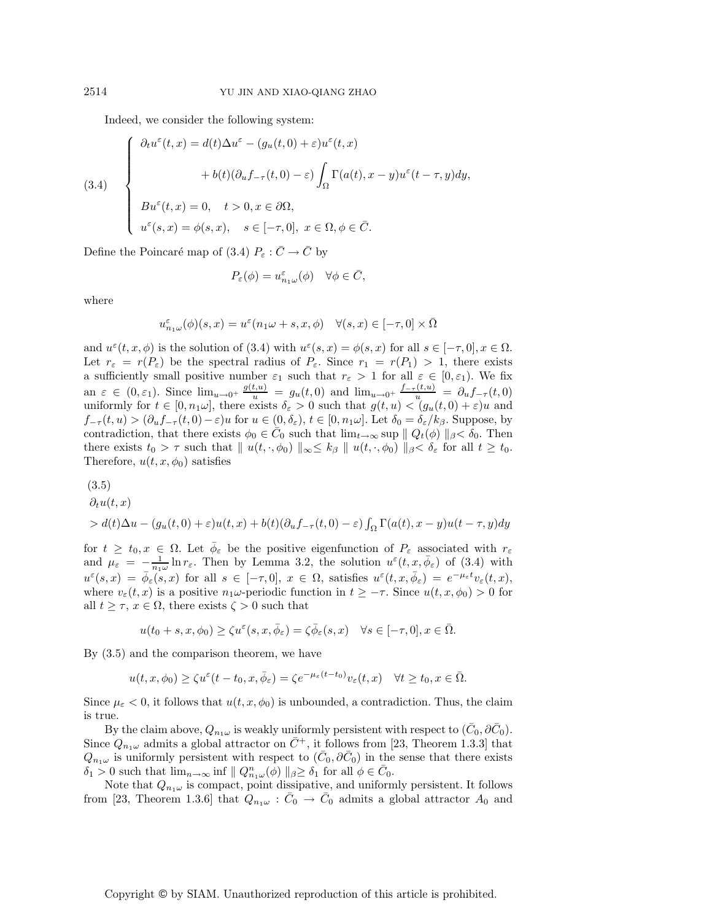Indeed, we consider the following system:

(3.4)  

$$
\begin{cases}\n\partial_t u^{\varepsilon}(t,x) = d(t)\Delta u^{\varepsilon} - (g_u(t,0) + \varepsilon)u^{\varepsilon}(t,x) \\
\qquad + b(t)(\partial_u f_{-\tau}(t,0) - \varepsilon) \int_{\Omega} \Gamma(a(t), x - y)u^{\varepsilon}(t - \tau, y)dy, \\
B u^{\varepsilon}(t,x) = 0, \quad t > 0, x \in \partial\Omega, \\
u^{\varepsilon}(s,x) = \phi(s,x), \quad s \in [-\tau, 0], \ x \in \Omega, \phi \in \overline{C}.\n\end{cases}
$$

Define the Poincaré map of (3.4)  $P_{\varepsilon} : \bar{C} \to \bar{C}$  by

$$
P_{\varepsilon}(\phi) = u_{n_1\omega}^{\varepsilon}(\phi) \quad \forall \phi \in \bar{C},
$$

where

$$
u_{n_1\omega}^{\varepsilon}(\phi)(s,x) = u^{\varepsilon}(n_1\omega + s, x, \phi) \quad \forall (s,x) \in [-\tau, 0] \times \overline{\Omega}
$$

and  $u^{\varepsilon}(t, x, \phi)$  is the solution of (3.4) with  $u^{\varepsilon}(s, x) = \phi(s, x)$  for all  $s \in [-\tau, 0], x \in \Omega$ . Let  $r_{\varepsilon} = r(P_{\varepsilon})$  be the spectral radius of  $P_{\varepsilon}$ . Since  $r_1 = r(P_1) > 1$ , there exists a sufficiently small positive number  $\varepsilon_1$  such that  $r_{\varepsilon} > 1$  for all  $\varepsilon \in [0, \varepsilon_1)$ . We fix an  $\varepsilon \in (0, \varepsilon_1)$ . Since  $\lim_{u \to 0^+} \frac{g(t, u)}{u} = g_u(t, 0)$  and  $\lim_{u \to 0^+} \frac{f_{-\tau}(t, u)}{u} = \partial_u f_{-\tau}(t, 0)$ <br>uniformly for  $t \in [0, n_1(u)]$  there exists  $\delta$ ,  $> 0$  such that  $g(t, u) < (g, (t, 0) + \varepsilon)u$  and uniformly for  $t \in [0, n_1\omega]$ , there exists  $\delta_{\varepsilon} > 0$  such that  $g(t, u) < (g_u(t, 0) + \varepsilon)u$  and  $f_{-\tau}(t, u) > (\partial_u f_{-\tau}(t, 0) - \varepsilon)u$  for  $u \in (0, \delta_{\varepsilon}), t \in [0, n_1\omega]$ . Let  $\delta_0 = \delta_{\varepsilon}/k_{\beta}$ . Suppose, by contradiction, that there exists  $\phi_0 \in \bar{C}_0$  such that  $\lim_{t\to\infty} \sup \|Q_t(\phi)\|_{\beta} < \delta_0$ . Then there exists  $t_0 > \tau$  such that  $||u(t, \cdot, \phi_0)||_{\infty} \le k_\beta ||u(t, \cdot, \phi_0)||_{\beta} < \delta_{\varepsilon}$  for all  $t \ge t_0$ . Therefore,  $u(t, x, \phi_0)$  satisfies

(3.5)  
\n
$$
\partial_t u(t, x) = d(t) \Delta u - (g_u(t, 0) + \varepsilon) u(t, x) + b(t) (\partial_u f_{-\tau}(t, 0) - \varepsilon) \int_{\Omega} \Gamma(a(t), x - y) u(t - \tau, y) dy
$$

for  $t \geq t_0, x \in \Omega$ . Let  $\bar{\phi}_{\varepsilon}$  be the positive eigenfunction of  $P_{\varepsilon}$  associated with  $r_{\varepsilon}$ and  $\mu_{\varepsilon} = -\frac{1}{n_1\omega} \ln r_{\varepsilon}$ . Then by Lemma 3.2, the solution  $u^{\varepsilon}(t, x, \bar{\phi}_{\varepsilon})$  of (3.4) with  $u^{\varepsilon}(s, x) = \bar{\phi}_{\varepsilon}(s, x)$  for all  $s \in [-\tau, 0], x \in \Omega$ , satisfies  $u^{\varepsilon}(t, x, \bar{\phi}_{\varepsilon}) = e^{-\mu_{\varepsilon}t}v_{\varepsilon}(t, x)$ ,<br>where  $u(t, x)$  is a positive  $x$  is a positive superiories function in  $t > \varepsilon$ . Since  $u(t, x, \bar{\phi}) > 0$  form where  $v_{\varepsilon}(t, x)$  is a positive  $n_1\omega$ -periodic function in  $t \geq -\tau$ . Since  $u(t, x, \phi_0) > 0$  for all  $t \geq \tau$ ,  $x \in \Omega$ , there exists  $\zeta > 0$  such that

$$
u(t_0+s,x,\phi_0)\geq \zeta u^{\varepsilon}(s,x,\bar{\phi}_{\varepsilon})=\zeta \bar{\phi}_{\varepsilon}(s,x)\quad \forall s\in [-\tau,0], x\in\bar{\Omega}.
$$

By (3.5) and the comparison theorem, we have

$$
u(t, x, \phi_0) \ge \zeta u^{\varepsilon}(t - t_0, x, \bar{\phi}_{\varepsilon}) = \zeta e^{-\mu_{\varepsilon}(t - t_0)} v_{\varepsilon}(t, x) \quad \forall t \ge t_0, x \in \bar{\Omega}.
$$

Since  $\mu_{\varepsilon} < 0$ , it follows that  $u(t, x, \phi_0)$  is unbounded, a contradiction. Thus, the claim is true.

By the claim above,  $Q_{n_1\omega}$  is weakly uniformly persistent with respect to  $(\bar{C}_0, \partial \bar{C}_0)$ . Since  $Q_{n_1\omega}$  admits a global attractor on  $\bar{C}^+$ , it follows from [23, Theorem 1.3.3] that  $Q_{n_1\omega}$  is uniformly persistent with respect to  $(C_0, \partial\overline{C_0})$  in the sense that there exists  $\delta_1 > 0$  such that  $\lim_{n \to \infty} \inf ||Q_{n_1\omega}^n(\phi)||_{\beta} \ge \delta_1$  for all  $\phi \in \bar{C}_0$ .<br>Note that  $\Omega$  is compact point dissipative, and uniform

Note that  $Q_{n_1\omega}$  is compact, point dissipative, and uniformly persistent. It follows from [23, Theorem 1.3.6] that  $Q_{n_1\omega}$ :  $\bar{C}_0 \rightarrow \bar{C}_0$  admits a global attractor  $A_0$  and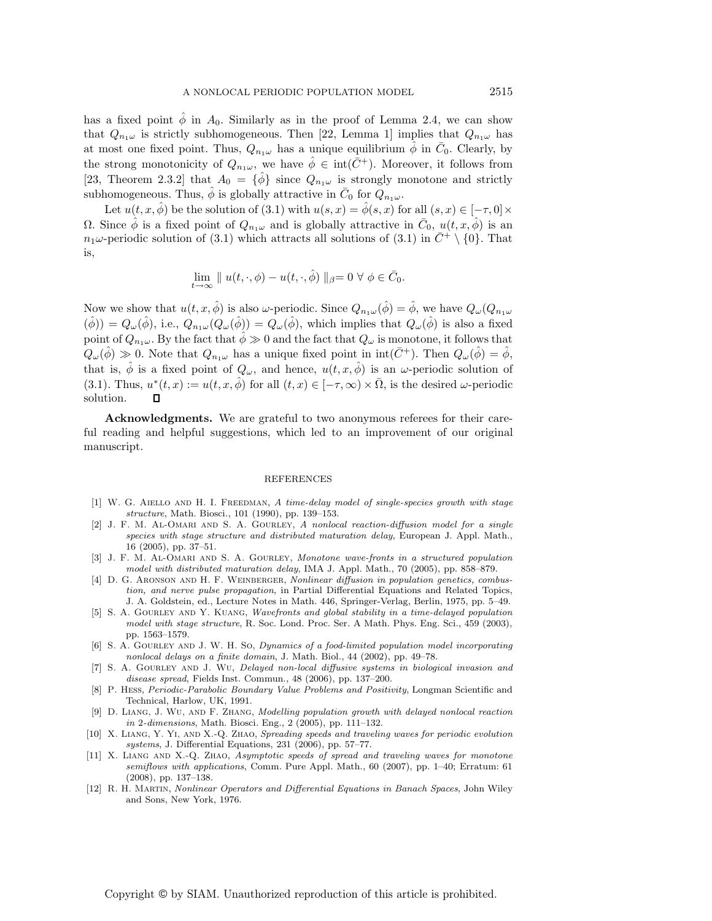has a fixed point  $\hat{\phi}$  in  $A_0$ . Similarly as in the proof of Lemma 2.4, we can show that  $Q_{n_1\omega}$  is strictly subhomogeneous. Then [22, Lemma 1] implies that  $Q_{n_1\omega}$  has at most one fixed point. Thus,  $Q_{n_1\omega}$  has a unique equilibrium  $\phi$  in  $\bar{C}_0$ . Clearly, by the strong monotonicity of  $Q_{n_1\omega}$ , we have  $\phi \in \text{int}(\bar{C}^+)$ . Moreover, it follows from [23, Theorem 2.3.2] that  $A_0 = {\hat{\phi}}$  since  $Q_{n_1\omega}$  is strongly monotone and strictly subhomogeneous. Thus,  $\phi$  is globally attractive in  $\bar{C}_0$  for  $Q_{n_1\omega}$ .

Let  $u(t, x, \hat{\phi})$  be the solution of (3.1) with  $u(s, x) = \hat{\phi}(s, x)$  for all  $(s, x) \in [-\tau, 0] \times$  $Ω$ . Since  $\hat{\phi}$  is a fixed point of  $Q_{n_1\omega}$  and is globally attractive in  $\bar{C}_0$ ,  $u(t, x, \hat{\phi})$  is an  $n_1\omega$ -periodic solution of (3.1) which attracts all solutions of (3.1) in  $\bar{C}^+ \setminus \{0\}$ . That is,

$$
\lim_{t \to \infty} \| u(t, \cdot, \phi) - u(t, \cdot, \hat{\phi}) \|_{\beta} = 0 \ \forall \ \phi \in \bar{C}_0.
$$

Now we show that  $u(t, x, \hat{\phi})$  is also  $\omega$ -periodic. Since  $Q_{n_1\omega}(\hat{\phi}) = \hat{\phi}$ , we have  $Q_{\omega}(Q_{n_1\omega})$  $(\hat{\phi}) = Q_{\omega}(\hat{\phi}),$  i.e.,  $Q_{n_1\omega}(Q_{\omega}(\hat{\phi})) = Q_{\omega}(\hat{\phi}),$  which implies that  $Q_{\omega}(\hat{\phi})$  is also a fixed point of  $Q_{n_1\omega}$ . By the fact that  $\hat{\phi} \gg 0$  and the fact that  $Q_{\omega}$  is monotone, it follows that  $Q_{\omega}(\hat{\phi}) \gg 0$ . Note that  $Q_{n_1\omega}$  has a unique fixed point in int $(\bar{C}^+)$ . Then  $Q_{\omega}(\hat{\phi}) = \hat{\phi}$ , that is,  $\phi$  is a fixed point of  $Q_{\omega}$ , and hence,  $u(t, x, \phi)$  is an  $\omega$ -periodic solution of (3.1). Thus,  $u^*(t, x) := u(t, x, \hat{\phi})$  for all  $(t, x) \in [-\tau, \infty) \times \overline{\Omega}$ , is the desired  $\omega$ -periodic solution. П

**Acknowledgments.** We are grateful to two anonymous referees for their careful reading and helpful suggestions, which led to an improvement of our original manuscript.

## REFERENCES

- [1] W. G. AIELLO AND H. I. FREEDMAN, A time-delay model of single-species growth with stage structure, Math. Biosci., 101 (1990), pp. 139–153.
- [2] J. F. M. Al-Omari and S. A. Gourley, A nonlocal reaction-diffusion model for a single species with stage structure and distributed maturation delay, European J. Appl. Math., 16 (2005), pp. 37–51.
- [3] J. F. M. Al-Omari and S. A. Gourley, Monotone wave-fronts in a structured population model with distributed maturation delay, IMA J. Appl. Math., 70 (2005), pp. 858–879.
- [4] D. G. ARONSON AND H. F. WEINBERGER, Nonlinear diffusion in population genetics, combustion, and nerve pulse propagation, in Partial Differential Equations and Related Topics, J. A. Goldstein, ed., Lecture Notes in Math. 446, Springer-Verlag, Berlin, 1975, pp. 5–49.
- [5] S. A. GOURLEY AND Y. KUANG, Wavefronts and global stability in a time-delayed population model with stage structure, R. Soc. Lond. Proc. Ser. A Math. Phys. Eng. Sci., 459 (2003), pp. 1563–1579.
- [6] S. A. GOURLEY AND J. W. H. So, Dynamics of a food-limited population model incorporating nonlocal delays on a finite domain, J. Math. Biol., 44 (2002), pp. 49–78.
- [7] S. A. Gourley and J. Wu, Delayed non-local diffusive systems in biological invasion and disease spread, Fields Inst. Commun., 48 (2006), pp. 137–200.
- [8] P. HESS, Periodic-Parabolic Boundary Value Problems and Positivity, Longman Scientific and Technical, Harlow, UK, 1991.
- [9] D. Liang, J. Wu, and F. Zhang, Modelling population growth with delayed nonlocal reaction in 2-dimensions, Math. Biosci. Eng., 2 (2005), pp. 111–132.
- [10] X. LIANG, Y. YI, AND X.-Q. ZHAO, Spreading speeds and traveling waves for periodic evolution systems, J. Differential Equations, 231 (2006), pp. 57–77.
- [11] X. Liang and X.-Q. Zhao, Asymptotic speeds of spread and traveling waves for monotone semiflows with applications, Comm. Pure Appl. Math., 60 (2007), pp. 1–40; Erratum: 61 (2008), pp. 137–138.
- [12] R. H. Martin, Nonlinear Operators and Differential Equations in Banach Spaces, John Wiley and Sons, New York, 1976.